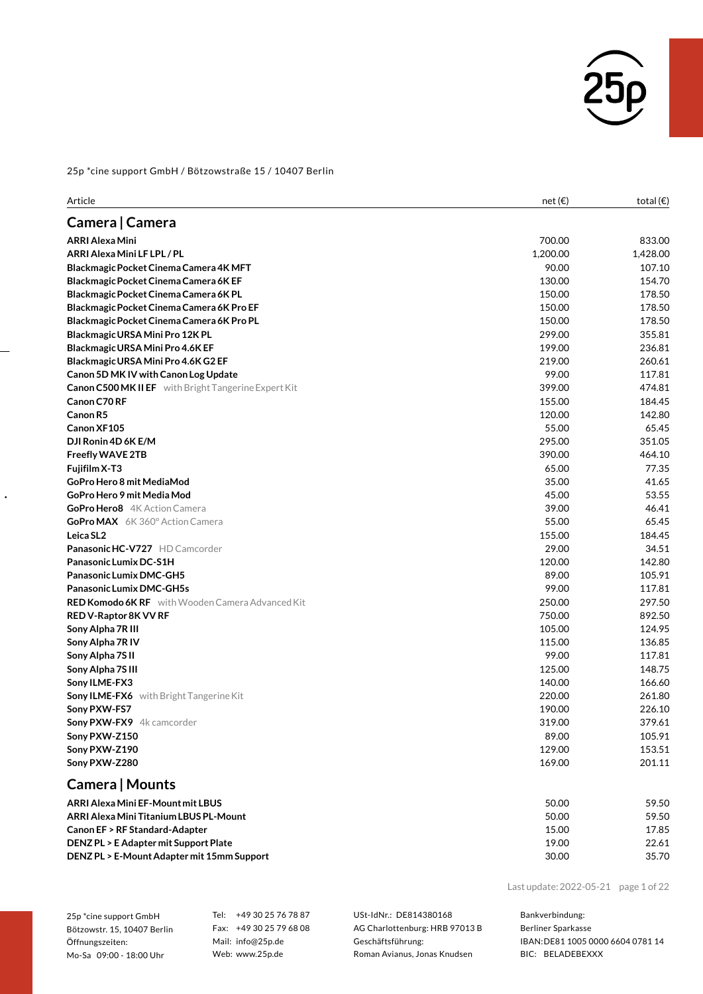

| Article                                                     | net $(\epsilon)$ | total $(\epsilon)$ |
|-------------------------------------------------------------|------------------|--------------------|
| Camera   Camera                                             |                  |                    |
| <b>ARRI Alexa Mini</b>                                      | 700.00           | 833.00             |
| ARRI Alexa Mini LF LPL / PL                                 | 1,200.00         | 1,428.00           |
| Blackmagic Pocket Cinema Camera 4K MFT                      | 90.00            | 107.10             |
| Blackmagic Pocket Cinema Camera 6K EF                       | 130.00           | 154.70             |
| Blackmagic Pocket Cinema Camera 6K PL                       | 150.00           | 178.50             |
| Blackmagic Pocket Cinema Camera 6K Pro EF                   | 150.00           | 178.50             |
| Blackmagic Pocket Cinema Camera 6K Pro PL                   | 150.00           | 178.50             |
| Blackmagic URSA Mini Pro 12K PL                             | 299.00           | 355.81             |
| Blackmagic URSA Mini Pro 4.6K EF                            | 199.00           | 236.81             |
| Blackmagic URSA Mini Pro 4.6K G2 EF                         | 219.00           | 260.61             |
| Canon 5D MK IV with Canon Log Update                        | 99.00            | 117.81             |
| <b>Canon C500 MK II EF</b> with Bright Tangerine Expert Kit | 399.00           | 474.81             |
| Canon C70 RF                                                | 155.00           | 184.45             |
| Canon <sub>R5</sub>                                         | 120.00           | 142.80             |
| Canon XF105                                                 | 55.00            | 65.45              |
| DJI Ronin 4D 6K E/M                                         | 295.00           | 351.05             |
| <b>Freefly WAVE 2TB</b>                                     | 390.00           | 464.10             |
| Fujifilm X-T3                                               | 65.00            | 77.35              |
| GoPro Hero 8 mit MediaMod                                   | 35.00            | 41.65              |
| GoPro Hero 9 mit Media Mod                                  | 45.00            | 53.55              |
| <b>GoPro Hero8</b> 4K Action Camera                         | 39.00            | 46.41              |
| GoPro MAX 6K 360° Action Camera                             | 55.00            | 65.45              |
| Leica SL2                                                   | 155.00           | 184.45             |
| <b>Panasonic HC-V727</b> HD Camcorder                       | 29.00            | 34.51              |
| Panasonic Lumix DC-S1H                                      | 120.00           | 142.80             |
| Panasonic Lumix DMC-GH5                                     | 89.00            | 105.91             |
| Panasonic Lumix DMC-GH5s                                    | 99.00            | 117.81             |
| <b>RED Komodo 6K RF</b> with Wooden Camera Advanced Kit     | 250.00           | 297.50             |
| RED V-Raptor 8K VV RF                                       | 750.00           | 892.50             |
| Sony Alpha 7R III                                           | 105.00           | 124.95             |
| Sony Alpha 7RIV                                             | 115.00           | 136.85             |
| Sony Alpha 7SII                                             | 99.00            | 117.81             |
| Sony Alpha 7S III                                           | 125.00           | 148.75             |
| Sony ILME-FX3                                               | 140.00           | 166.60             |
| Sony ILME-FX6 with Bright Tangerine Kit                     | 220.00           | 261.80             |
| Sony PXW-FS7                                                | 190.00           | 226.10             |
| Sony PXW-FX9 4k camcorder                                   | 319.00           | 379.61             |
| Sony PXW-Z150                                               | 89.00            | 105.91             |
| Sony PXW-Z190                                               | 129.00           | 153.51             |
| Sony PXW-Z280                                               | 169.00           | 201.11             |
| Camera   Mounts                                             |                  |                    |
| ARRI Alexa Mini EF-Mount mit LBUS                           | 50.00            | 59.50              |
| ARRI Alexa Mini Titanium LBUS PL-Mount                      | 50.00            | 59.50              |
| Canon EF > RF Standard-Adapter                              | 15.00            | 17.85              |
| DENZ PL > E Adapter mit Support Plate                       | 19.00            | 22.61              |
| DENZ PL > E-Mount Adapter mit 15mm Support                  | 30.00            | 35.70              |

Last update:2022-05-21 page 1 of 22

25p \*cine support GmbH Bötzowstr. 15, 10407 Berlin Öffnungszeiten: Mo-Sa 09:00 - 18:00 Uhr

 $\ddot{\phantom{0}}$ 

Tel: +49 30 25 76 78 87 Fax: +49 30 25 79 68 08 Mail: info@25p.de Web: www.25p.de

USt-IdNr.: DE814380168 AG Charlottenburg: HRB 97013 B Geschäftsführung: Roman Avianus, Jonas Knudsen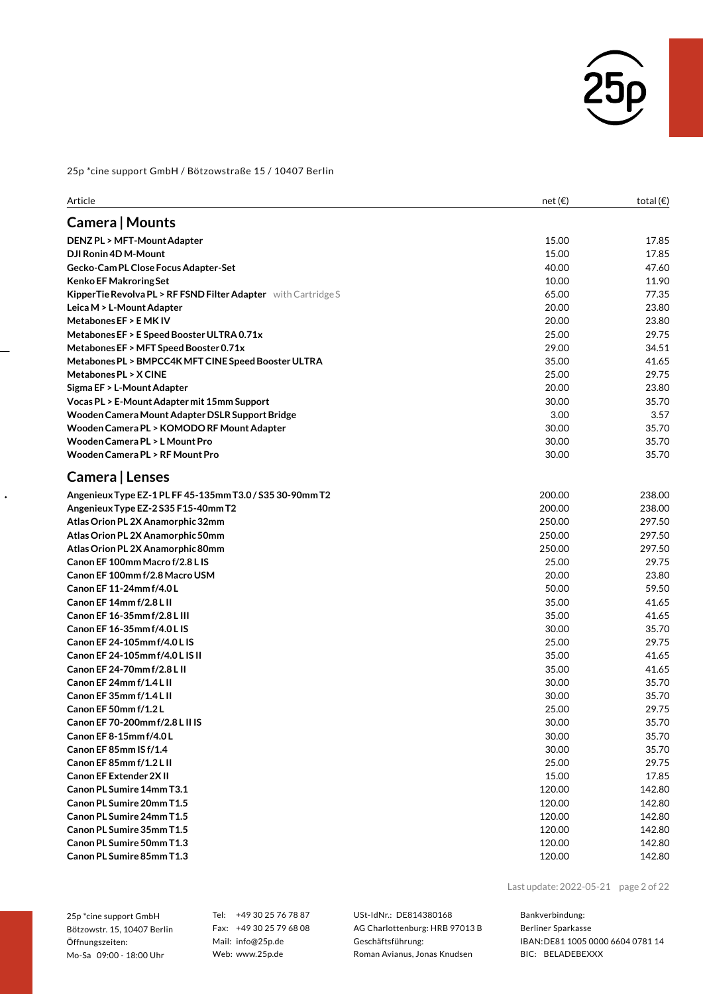

| Camera   Mounts<br>15.00<br><b>DENZ PL &gt; MFT-Mount Adapter</b><br>DJI Ronin 4D M-Mount<br>15.00<br>Gecko-Cam PL Close Focus Adapter-Set<br>40.00<br><b>Kenko EF Makroring Set</b><br>10.00<br>KipperTie Revolva PL > RF FSND Filter Adapter with Cartridge S<br>65.00<br>20.00<br>Leica M > L-Mount Adapter<br>Metabones EF > EMK IV<br>20.00<br>Metabones EF > E Speed Booster ULTRA 0.71x<br>25.00<br>Metabones EF > MFT Speed Booster 0.71x<br>29.00<br>35.00<br>Metabones PL > BMPCC4K MFT CINE Speed Booster ULTRA<br>25.00<br>Metabones PL > X CINE<br>Sigma EF > L-Mount Adapter<br>20.00<br>30.00<br>Vocas PL > E-Mount Adapter mit 15mm Support<br>3.00<br>Wooden Camera Mount Adapter DSLR Support Bridge<br>Wooden Camera PL > KOMODO RF Mount Adapter<br>30.00<br>Wooden Camera PL > L Mount Pro<br>30.00<br>Wooden Camera PL > RF Mount Pro<br>30.00<br>Camera   Lenses<br>200.00<br>Angenieux Type EZ-1 PL FF 45-135mm T3.0 / S35 30-90mm T2<br>Angenieux Type EZ-2 S35 F15-40mm T2<br>200.00<br>Atlas Orion PL 2X Anamorphic 32mm<br>250.00<br>Atlas Orion PL 2X Anamorphic 50mm<br>250.00<br>Atlas Orion PL 2X Anamorphic 80mm<br>250.00<br>Canon EF 100mm Macrof/2.8 L IS<br>25.00<br>Canon EF 100mm f/2.8 Macro USM<br>20.00<br>Canon EF 11-24mm f/4.0L<br>50.00<br>Canon EF 14mm f/2.8 L II<br>35.00<br>Canon EF 16-35mm f/2.8 L III<br>35.00<br>Canon EF 16-35mm f/4.0 L IS<br>30.00<br>Canon EF 24-105mm f/4.0 L IS<br>25.00<br>Canon EF 24-105mm f/4.0 L IS II<br>35.00<br>Canon EF 24-70mm f/2.8 L II<br>35.00<br>Canon EF 24mm f/1.4 L II<br>30.00<br>Canon EF 35mm f/1.4 L II<br>30.00<br>Canon EF 50mm f/1.2L<br>25.00<br>Canon EF 70-200mm f/2.8 L II IS<br>30.00<br>Canon EF8-15mm f/4.0L<br>30.00<br>30.00<br>Canon EF 85mm IS f/1.4<br>Canon EF 85mm f/1.2 L II<br>25.00 | Article | net $(\epsilon)$ | total $(\epsilon)$ |
|-----------------------------------------------------------------------------------------------------------------------------------------------------------------------------------------------------------------------------------------------------------------------------------------------------------------------------------------------------------------------------------------------------------------------------------------------------------------------------------------------------------------------------------------------------------------------------------------------------------------------------------------------------------------------------------------------------------------------------------------------------------------------------------------------------------------------------------------------------------------------------------------------------------------------------------------------------------------------------------------------------------------------------------------------------------------------------------------------------------------------------------------------------------------------------------------------------------------------------------------------------------------------------------------------------------------------------------------------------------------------------------------------------------------------------------------------------------------------------------------------------------------------------------------------------------------------------------------------------------------------------------------------------------------------------------------------------------------------------------------------------------------------------------------------------------|---------|------------------|--------------------|
|                                                                                                                                                                                                                                                                                                                                                                                                                                                                                                                                                                                                                                                                                                                                                                                                                                                                                                                                                                                                                                                                                                                                                                                                                                                                                                                                                                                                                                                                                                                                                                                                                                                                                                                                                                                                           |         |                  |                    |
|                                                                                                                                                                                                                                                                                                                                                                                                                                                                                                                                                                                                                                                                                                                                                                                                                                                                                                                                                                                                                                                                                                                                                                                                                                                                                                                                                                                                                                                                                                                                                                                                                                                                                                                                                                                                           |         |                  | 17.85              |
|                                                                                                                                                                                                                                                                                                                                                                                                                                                                                                                                                                                                                                                                                                                                                                                                                                                                                                                                                                                                                                                                                                                                                                                                                                                                                                                                                                                                                                                                                                                                                                                                                                                                                                                                                                                                           |         |                  | 17.85              |
|                                                                                                                                                                                                                                                                                                                                                                                                                                                                                                                                                                                                                                                                                                                                                                                                                                                                                                                                                                                                                                                                                                                                                                                                                                                                                                                                                                                                                                                                                                                                                                                                                                                                                                                                                                                                           |         |                  | 47.60              |
|                                                                                                                                                                                                                                                                                                                                                                                                                                                                                                                                                                                                                                                                                                                                                                                                                                                                                                                                                                                                                                                                                                                                                                                                                                                                                                                                                                                                                                                                                                                                                                                                                                                                                                                                                                                                           |         |                  | 11.90              |
|                                                                                                                                                                                                                                                                                                                                                                                                                                                                                                                                                                                                                                                                                                                                                                                                                                                                                                                                                                                                                                                                                                                                                                                                                                                                                                                                                                                                                                                                                                                                                                                                                                                                                                                                                                                                           |         |                  | 77.35              |
|                                                                                                                                                                                                                                                                                                                                                                                                                                                                                                                                                                                                                                                                                                                                                                                                                                                                                                                                                                                                                                                                                                                                                                                                                                                                                                                                                                                                                                                                                                                                                                                                                                                                                                                                                                                                           |         |                  | 23.80              |
|                                                                                                                                                                                                                                                                                                                                                                                                                                                                                                                                                                                                                                                                                                                                                                                                                                                                                                                                                                                                                                                                                                                                                                                                                                                                                                                                                                                                                                                                                                                                                                                                                                                                                                                                                                                                           |         |                  | 23.80              |
|                                                                                                                                                                                                                                                                                                                                                                                                                                                                                                                                                                                                                                                                                                                                                                                                                                                                                                                                                                                                                                                                                                                                                                                                                                                                                                                                                                                                                                                                                                                                                                                                                                                                                                                                                                                                           |         |                  | 29.75              |
|                                                                                                                                                                                                                                                                                                                                                                                                                                                                                                                                                                                                                                                                                                                                                                                                                                                                                                                                                                                                                                                                                                                                                                                                                                                                                                                                                                                                                                                                                                                                                                                                                                                                                                                                                                                                           |         |                  | 34.51              |
|                                                                                                                                                                                                                                                                                                                                                                                                                                                                                                                                                                                                                                                                                                                                                                                                                                                                                                                                                                                                                                                                                                                                                                                                                                                                                                                                                                                                                                                                                                                                                                                                                                                                                                                                                                                                           |         |                  | 41.65              |
|                                                                                                                                                                                                                                                                                                                                                                                                                                                                                                                                                                                                                                                                                                                                                                                                                                                                                                                                                                                                                                                                                                                                                                                                                                                                                                                                                                                                                                                                                                                                                                                                                                                                                                                                                                                                           |         |                  | 29.75              |
|                                                                                                                                                                                                                                                                                                                                                                                                                                                                                                                                                                                                                                                                                                                                                                                                                                                                                                                                                                                                                                                                                                                                                                                                                                                                                                                                                                                                                                                                                                                                                                                                                                                                                                                                                                                                           |         |                  | 23.80              |
|                                                                                                                                                                                                                                                                                                                                                                                                                                                                                                                                                                                                                                                                                                                                                                                                                                                                                                                                                                                                                                                                                                                                                                                                                                                                                                                                                                                                                                                                                                                                                                                                                                                                                                                                                                                                           |         |                  | 35.70              |
|                                                                                                                                                                                                                                                                                                                                                                                                                                                                                                                                                                                                                                                                                                                                                                                                                                                                                                                                                                                                                                                                                                                                                                                                                                                                                                                                                                                                                                                                                                                                                                                                                                                                                                                                                                                                           |         |                  | 3.57               |
|                                                                                                                                                                                                                                                                                                                                                                                                                                                                                                                                                                                                                                                                                                                                                                                                                                                                                                                                                                                                                                                                                                                                                                                                                                                                                                                                                                                                                                                                                                                                                                                                                                                                                                                                                                                                           |         |                  | 35.70              |
|                                                                                                                                                                                                                                                                                                                                                                                                                                                                                                                                                                                                                                                                                                                                                                                                                                                                                                                                                                                                                                                                                                                                                                                                                                                                                                                                                                                                                                                                                                                                                                                                                                                                                                                                                                                                           |         |                  | 35.70              |
|                                                                                                                                                                                                                                                                                                                                                                                                                                                                                                                                                                                                                                                                                                                                                                                                                                                                                                                                                                                                                                                                                                                                                                                                                                                                                                                                                                                                                                                                                                                                                                                                                                                                                                                                                                                                           |         |                  | 35.70              |
|                                                                                                                                                                                                                                                                                                                                                                                                                                                                                                                                                                                                                                                                                                                                                                                                                                                                                                                                                                                                                                                                                                                                                                                                                                                                                                                                                                                                                                                                                                                                                                                                                                                                                                                                                                                                           |         |                  |                    |
|                                                                                                                                                                                                                                                                                                                                                                                                                                                                                                                                                                                                                                                                                                                                                                                                                                                                                                                                                                                                                                                                                                                                                                                                                                                                                                                                                                                                                                                                                                                                                                                                                                                                                                                                                                                                           |         |                  | 238.00             |
|                                                                                                                                                                                                                                                                                                                                                                                                                                                                                                                                                                                                                                                                                                                                                                                                                                                                                                                                                                                                                                                                                                                                                                                                                                                                                                                                                                                                                                                                                                                                                                                                                                                                                                                                                                                                           |         |                  | 238.00             |
|                                                                                                                                                                                                                                                                                                                                                                                                                                                                                                                                                                                                                                                                                                                                                                                                                                                                                                                                                                                                                                                                                                                                                                                                                                                                                                                                                                                                                                                                                                                                                                                                                                                                                                                                                                                                           |         |                  | 297.50             |
|                                                                                                                                                                                                                                                                                                                                                                                                                                                                                                                                                                                                                                                                                                                                                                                                                                                                                                                                                                                                                                                                                                                                                                                                                                                                                                                                                                                                                                                                                                                                                                                                                                                                                                                                                                                                           |         |                  | 297.50             |
|                                                                                                                                                                                                                                                                                                                                                                                                                                                                                                                                                                                                                                                                                                                                                                                                                                                                                                                                                                                                                                                                                                                                                                                                                                                                                                                                                                                                                                                                                                                                                                                                                                                                                                                                                                                                           |         |                  | 297.50             |
|                                                                                                                                                                                                                                                                                                                                                                                                                                                                                                                                                                                                                                                                                                                                                                                                                                                                                                                                                                                                                                                                                                                                                                                                                                                                                                                                                                                                                                                                                                                                                                                                                                                                                                                                                                                                           |         |                  | 29.75              |
|                                                                                                                                                                                                                                                                                                                                                                                                                                                                                                                                                                                                                                                                                                                                                                                                                                                                                                                                                                                                                                                                                                                                                                                                                                                                                                                                                                                                                                                                                                                                                                                                                                                                                                                                                                                                           |         |                  | 23.80              |
|                                                                                                                                                                                                                                                                                                                                                                                                                                                                                                                                                                                                                                                                                                                                                                                                                                                                                                                                                                                                                                                                                                                                                                                                                                                                                                                                                                                                                                                                                                                                                                                                                                                                                                                                                                                                           |         |                  | 59.50              |
|                                                                                                                                                                                                                                                                                                                                                                                                                                                                                                                                                                                                                                                                                                                                                                                                                                                                                                                                                                                                                                                                                                                                                                                                                                                                                                                                                                                                                                                                                                                                                                                                                                                                                                                                                                                                           |         |                  | 41.65              |
|                                                                                                                                                                                                                                                                                                                                                                                                                                                                                                                                                                                                                                                                                                                                                                                                                                                                                                                                                                                                                                                                                                                                                                                                                                                                                                                                                                                                                                                                                                                                                                                                                                                                                                                                                                                                           |         |                  | 41.65              |
|                                                                                                                                                                                                                                                                                                                                                                                                                                                                                                                                                                                                                                                                                                                                                                                                                                                                                                                                                                                                                                                                                                                                                                                                                                                                                                                                                                                                                                                                                                                                                                                                                                                                                                                                                                                                           |         |                  | 35.70              |
|                                                                                                                                                                                                                                                                                                                                                                                                                                                                                                                                                                                                                                                                                                                                                                                                                                                                                                                                                                                                                                                                                                                                                                                                                                                                                                                                                                                                                                                                                                                                                                                                                                                                                                                                                                                                           |         |                  | 29.75              |
|                                                                                                                                                                                                                                                                                                                                                                                                                                                                                                                                                                                                                                                                                                                                                                                                                                                                                                                                                                                                                                                                                                                                                                                                                                                                                                                                                                                                                                                                                                                                                                                                                                                                                                                                                                                                           |         |                  | 41.65              |
|                                                                                                                                                                                                                                                                                                                                                                                                                                                                                                                                                                                                                                                                                                                                                                                                                                                                                                                                                                                                                                                                                                                                                                                                                                                                                                                                                                                                                                                                                                                                                                                                                                                                                                                                                                                                           |         |                  | 41.65              |
|                                                                                                                                                                                                                                                                                                                                                                                                                                                                                                                                                                                                                                                                                                                                                                                                                                                                                                                                                                                                                                                                                                                                                                                                                                                                                                                                                                                                                                                                                                                                                                                                                                                                                                                                                                                                           |         |                  | 35.70              |
|                                                                                                                                                                                                                                                                                                                                                                                                                                                                                                                                                                                                                                                                                                                                                                                                                                                                                                                                                                                                                                                                                                                                                                                                                                                                                                                                                                                                                                                                                                                                                                                                                                                                                                                                                                                                           |         |                  | 35.70              |
|                                                                                                                                                                                                                                                                                                                                                                                                                                                                                                                                                                                                                                                                                                                                                                                                                                                                                                                                                                                                                                                                                                                                                                                                                                                                                                                                                                                                                                                                                                                                                                                                                                                                                                                                                                                                           |         |                  | 29.75              |
|                                                                                                                                                                                                                                                                                                                                                                                                                                                                                                                                                                                                                                                                                                                                                                                                                                                                                                                                                                                                                                                                                                                                                                                                                                                                                                                                                                                                                                                                                                                                                                                                                                                                                                                                                                                                           |         |                  | 35.70              |
|                                                                                                                                                                                                                                                                                                                                                                                                                                                                                                                                                                                                                                                                                                                                                                                                                                                                                                                                                                                                                                                                                                                                                                                                                                                                                                                                                                                                                                                                                                                                                                                                                                                                                                                                                                                                           |         |                  | 35.70              |
|                                                                                                                                                                                                                                                                                                                                                                                                                                                                                                                                                                                                                                                                                                                                                                                                                                                                                                                                                                                                                                                                                                                                                                                                                                                                                                                                                                                                                                                                                                                                                                                                                                                                                                                                                                                                           |         |                  | 35.70              |
|                                                                                                                                                                                                                                                                                                                                                                                                                                                                                                                                                                                                                                                                                                                                                                                                                                                                                                                                                                                                                                                                                                                                                                                                                                                                                                                                                                                                                                                                                                                                                                                                                                                                                                                                                                                                           |         |                  | 29.75              |
| <b>Canon EF Extender 2XII</b><br>15.00                                                                                                                                                                                                                                                                                                                                                                                                                                                                                                                                                                                                                                                                                                                                                                                                                                                                                                                                                                                                                                                                                                                                                                                                                                                                                                                                                                                                                                                                                                                                                                                                                                                                                                                                                                    |         |                  | 17.85              |
| Canon PL Sumire 14mm T3.1<br>120.00                                                                                                                                                                                                                                                                                                                                                                                                                                                                                                                                                                                                                                                                                                                                                                                                                                                                                                                                                                                                                                                                                                                                                                                                                                                                                                                                                                                                                                                                                                                                                                                                                                                                                                                                                                       |         |                  | 142.80             |
| Canon PL Sumire 20mm T1.5<br>120.00                                                                                                                                                                                                                                                                                                                                                                                                                                                                                                                                                                                                                                                                                                                                                                                                                                                                                                                                                                                                                                                                                                                                                                                                                                                                                                                                                                                                                                                                                                                                                                                                                                                                                                                                                                       |         |                  | 142.80             |
| Canon PL Sumire 24mm T1.5<br>120.00                                                                                                                                                                                                                                                                                                                                                                                                                                                                                                                                                                                                                                                                                                                                                                                                                                                                                                                                                                                                                                                                                                                                                                                                                                                                                                                                                                                                                                                                                                                                                                                                                                                                                                                                                                       |         |                  | 142.80             |
| Canon PL Sumire 35mm T1.5<br>120.00                                                                                                                                                                                                                                                                                                                                                                                                                                                                                                                                                                                                                                                                                                                                                                                                                                                                                                                                                                                                                                                                                                                                                                                                                                                                                                                                                                                                                                                                                                                                                                                                                                                                                                                                                                       |         |                  | 142.80             |
| Canon PL Sumire 50mm T1.3<br>120.00                                                                                                                                                                                                                                                                                                                                                                                                                                                                                                                                                                                                                                                                                                                                                                                                                                                                                                                                                                                                                                                                                                                                                                                                                                                                                                                                                                                                                                                                                                                                                                                                                                                                                                                                                                       |         |                  | 142.80             |
| Canon PL Sumire 85mm T1.3<br>120.00                                                                                                                                                                                                                                                                                                                                                                                                                                                                                                                                                                                                                                                                                                                                                                                                                                                                                                                                                                                                                                                                                                                                                                                                                                                                                                                                                                                                                                                                                                                                                                                                                                                                                                                                                                       |         |                  | 142.80             |

25p \*cine support GmbH Bötzowstr. 15, 10407 Berlin Öffnungszeiten: Mo-Sa 09:00 - 18:00 Uhr

 $\ddot{\phantom{0}}$ 

Tel: +49 30 25 76 78 87 Fax: +49 30 25 79 68 08 Mail: info@25p.de Web: www.25p.de

USt-IdNr.: DE814380168 AG Charlottenburg: HRB 97013 B Geschäftsführung: Roman Avianus, Jonas Knudsen

Last update:2022-05-21 page 2 of 22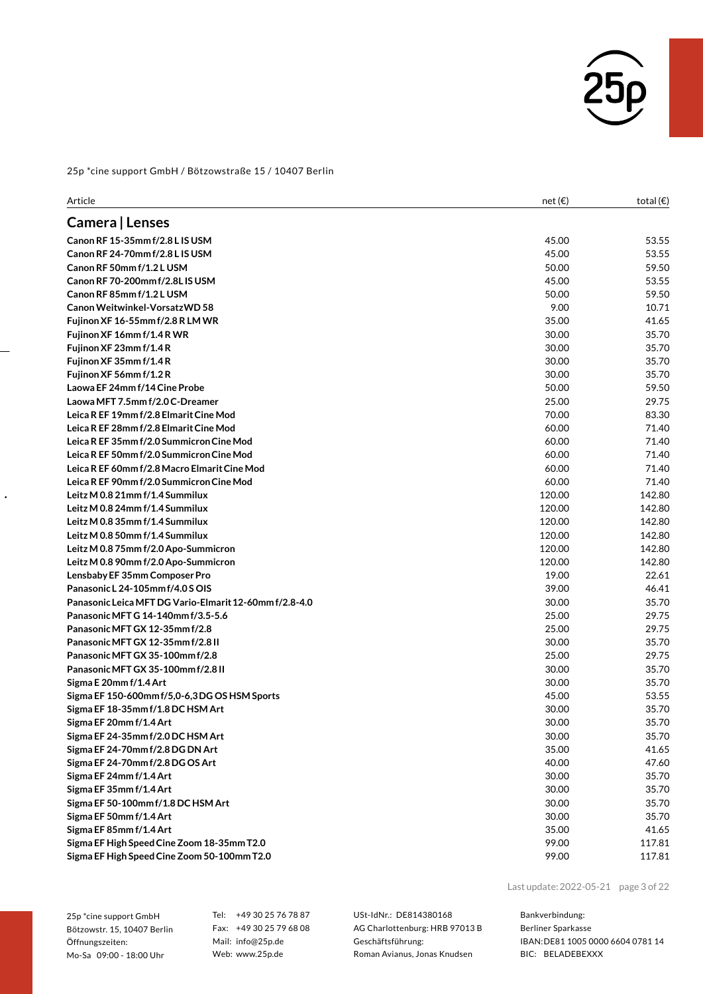

| Article                                                | net $(\epsilon)$ | total $(\epsilon)$ |
|--------------------------------------------------------|------------------|--------------------|
| Camera   Lenses                                        |                  |                    |
| Canon RF 15-35mm f/2.8 L IS USM                        | 45.00            | 53.55              |
| Canon RF 24-70mm f/2.8 L IS USM                        | 45.00            | 53.55              |
| Canon RF 50mm f/1.2 L USM                              | 50.00            | 59.50              |
| Canon RF 70-200mm f/2.8L IS USM                        | 45.00            | 53.55              |
| Canon RF 85mm f/1.2 L USM                              | 50.00            | 59.50              |
| Canon Weitwinkel-Vorsatz WD 58                         | 9.00             | 10.71              |
| Fujinon XF 16-55mm f/2.8 R LM WR                       | 35.00            | 41.65              |
| Fujinon XF 16mm f/1.4 R WR                             | 30.00            | 35.70              |
| Fujinon XF 23mm f/1.4R                                 | 30.00            | 35.70              |
| Fujinon XF 35mm f/1.4R                                 | 30.00            | 35.70              |
| Fujinon XF 56mm f/1.2R                                 | 30.00            | 35.70              |
| Laowa EF 24mm f/14 Cine Probe                          | 50.00            | 59.50              |
| Laowa MFT 7.5mm f/2.0 C-Dreamer                        | 25.00            | 29.75              |
| Leica R EF 19mm f/2.8 Elmarit Cine Mod                 | 70.00            | 83.30              |
| Leica R EF 28mm f/2.8 Elmarit Cine Mod                 | 60.00            | 71.40              |
| Leica R EF 35mm f/2.0 Summicron Cine Mod               | 60.00            | 71.40              |
| Leica R EF 50mm f/2.0 Summicron Cine Mod               | 60.00            | 71.40              |
| Leica R EF 60mm f/2.8 Macro Elmarit Cine Mod           | 60.00            | 71.40              |
| Leica R EF 90mm f/2.0 Summicron Cine Mod               | 60.00            | 71.40              |
| Leitz M 0.8 21mm f/1.4 Summilux                        | 120.00           | 142.80             |
| Leitz M 0.8 24mm f/1.4 Summilux                        | 120.00           | 142.80             |
| Leitz M 0.8 35mm f/1.4 Summilux                        | 120.00           | 142.80             |
| Leitz M 0.8 50mm f/1.4 Summilux                        | 120.00           | 142.80             |
| Leitz M 0.8 75mm f/2.0 Apo-Summicron                   | 120.00           | 142.80             |
| Leitz M 0.8 90mm f/2.0 Apo-Summicron                   | 120.00           | 142.80             |
| Lensbaby EF 35mm Composer Pro                          | 19.00            | 22.61              |
| Panasonic L 24-105mm f/4.0 S OIS                       | 39.00            | 46.41              |
| Panasonic Leica MFT DG Vario-Elmarit 12-60mm f/2.8-4.0 | 30.00            | 35.70              |
| Panasonic MFT G 14-140mm f/3.5-5.6                     | 25.00            | 29.75              |
| Panasonic MFT GX 12-35mm f/2.8                         | 25.00            | 29.75              |
| Panasonic MFT GX 12-35mm f/2.8 II                      | 30.00            | 35.70              |
| Panasonic MFT GX 35-100mm f/2.8                        | 25.00            | 29.75              |
| Panasonic MFT GX 35-100mm f/2.8 II                     | 30.00            | 35.70              |
| Sigma E 20mm f/1.4 Art                                 | 30.00            | 35.70              |
| Sigma EF 150-600mm f/5,0-6,3DG OS HSM Sports           | 45.00            | 53.55              |
| Sigma EF 18-35mm f/1.8 DC HSM Art                      | 30.00            | 35.70              |
| Sigma EF 20mm f/1.4 Art                                | 30.00            | 35.70              |
| Sigma EF 24-35mm f/2.0 DC HSM Art                      | 30.00            | 35.70              |
| Sigma EF 24-70mm f/2.8 DG DN Art                       | 35.00            | 41.65              |
| Sigma EF 24-70mm f/2.8 DG OS Art                       | 40.00            | 47.60              |
| Sigma EF 24mm f/1.4 Art                                | 30.00            | 35.70              |
| Sigma EF 35mm f/1.4 Art                                | 30.00            | 35.70              |
| Sigma EF 50-100mm f/1.8 DC HSM Art                     | 30.00            | 35.70              |
| Sigma EF 50mm f/1.4 Art                                | 30.00            | 35.70              |
| Sigma EF 85mm f/1.4 Art                                | 35.00            | 41.65              |
| Sigma EF High Speed Cine Zoom 18-35mm T2.0             | 99.00            | 117.81             |
| Sigma EF High Speed Cine Zoom 50-100mm T2.0            | 99.00            | 117.81             |
|                                                        |                  |                    |

25p \*cine support GmbH Bötzowstr. 15, 10407 Berlin Öffnungszeiten: Mo-Sa 09:00 - 18:00 Uhr

 $\ddot{\phantom{0}}$ 

Tel: +49 30 25 76 78 87 Fax: +49 30 25 79 68 08 Mail: info@25p.de Web: www.25p.de

USt-IdNr.: DE814380168 AG Charlottenburg: HRB 97013 B Geschäftsführung: Roman Avianus, Jonas Knudsen

Last update:2022-05-21 page 3 of 22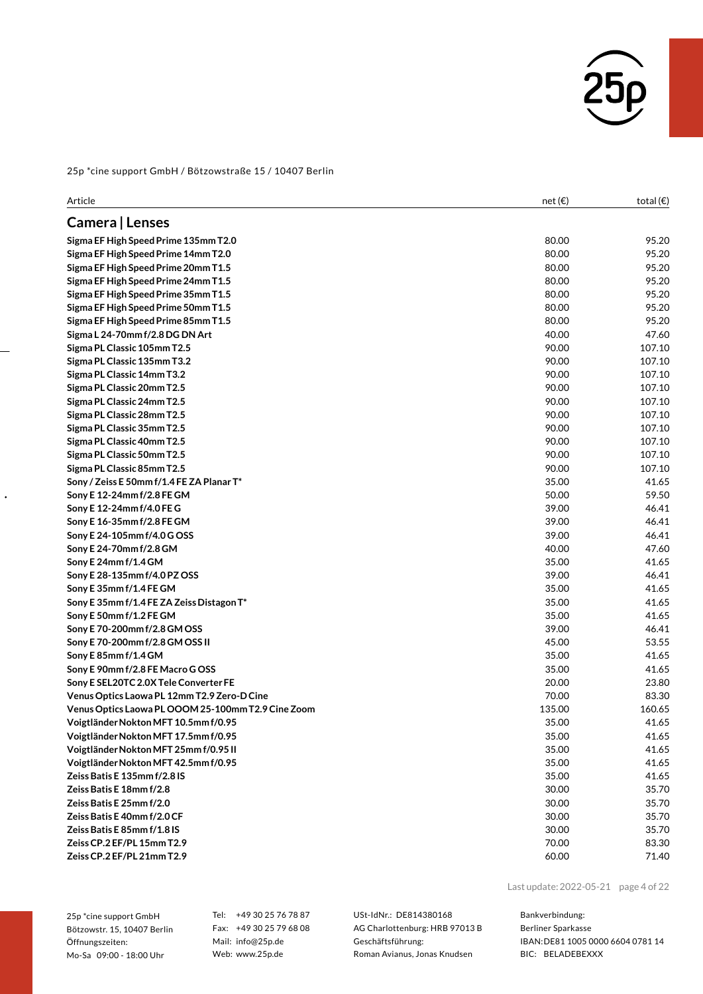

| Article                                            | net $(\epsilon)$ | total $(\epsilon)$ |
|----------------------------------------------------|------------------|--------------------|
| Camera   Lenses                                    |                  |                    |
| Sigma EF High Speed Prime 135mm T2.0               | 80.00            | 95.20              |
| Sigma EF High Speed Prime 14mm T2.0                | 80.00            | 95.20              |
| Sigma EF High Speed Prime 20mm T1.5                | 80.00            | 95.20              |
| Sigma EF High Speed Prime 24mm T1.5                | 80.00            | 95.20              |
| Sigma EF High Speed Prime 35mm T1.5                | 80.00            | 95.20              |
| Sigma EF High Speed Prime 50mm T1.5                | 80.00            | 95.20              |
| Sigma EF High Speed Prime 85mm T1.5                | 80.00            | 95.20              |
| Sigma L 24-70mm f/2.8 DG DN Art                    | 40.00            | 47.60              |
| Sigma PL Classic 105mm T2.5                        | 90.00            | 107.10             |
| Sigma PL Classic 135mm T3.2                        | 90.00            | 107.10             |
| Sigma PL Classic 14mm T3.2                         | 90.00            | 107.10             |
| Sigma PL Classic 20mm T2.5                         | 90.00            | 107.10             |
| Sigma PL Classic 24mm T2.5                         | 90.00            | 107.10             |
| Sigma PL Classic 28mm T2.5                         | 90.00            | 107.10             |
| Sigma PL Classic 35mm T2.5                         | 90.00            | 107.10             |
| Sigma PL Classic 40mm T2.5                         | 90.00            | 107.10             |
| Sigma PL Classic 50mm T2.5                         | 90.00            | 107.10             |
| Sigma PL Classic 85mm T2.5                         | 90.00            | 107.10             |
| Sony / Zeiss E 50mm f/1.4 FE ZA Planar T*          | 35.00            | 41.65              |
| Sony E 12-24mm f/2.8 FE GM                         | 50.00            | 59.50              |
| Sony E 12-24mm f/4.0 FE G                          | 39.00            | 46.41              |
| Sony E 16-35mm f/2.8 FE GM                         | 39.00            | 46.41              |
| Sony E 24-105mm f/4.0 G OSS                        | 39.00            | 46.41              |
| Sony E 24-70mm f/2.8 GM                            | 40.00            | 47.60              |
| Sony E 24mm f/1.4 GM                               | 35.00            | 41.65              |
| Sony E 28-135mm f/4.0 PZ OSS                       | 39.00            | 46.41              |
| Sony E 35mm f/1.4 FE GM                            | 35.00            | 41.65              |
| Sony E 35mm f/1.4 FE ZA Zeiss Distagon T*          | 35.00            | 41.65              |
| Sony E 50mm f/1.2 FE GM                            | 35.00            | 41.65              |
| Sony E 70-200mm f/2.8 GM OSS                       | 39.00            | 46.41              |
| Sony E 70-200mm f/2.8 GM OSS II                    | 45.00            | 53.55              |
| Sony E 85mm f/1.4 GM                               | 35.00            | 41.65              |
| Sony E 90mm f/2.8 FE Macro G OSS                   | 35.00            | 41.65              |
| Sony E SEL20TC 2.0X Tele Converter FE              | 20.00            | 23.80              |
| Venus Optics Laowa PL 12mm T2.9 Zero-D Cine        | 70.00            | 83.30              |
| Venus Optics Laowa PL OOOM 25-100mm T2.9 Cine Zoom | 135.00           | 160.65             |
| Voigtländer Nokton MFT 10.5mm f/0.95               | 35.00            | 41.65              |
| Voigtländer Nokton MFT 17.5mm f/0.95               | 35.00            | 41.65              |
| Voigtländer Nokton MFT 25mm f/0.95 II              | 35.00            | 41.65              |
| Voigtländer Nokton MFT 42.5mm f/0.95               | 35.00            | 41.65              |
| Zeiss Batis E 135mm f/2.8 IS                       | 35.00            | 41.65              |
| Zeiss Batis E 18mm f/2.8                           | 30.00            | 35.70              |
| Zeiss Batis E 25mm f/2.0                           | 30.00            | 35.70              |
| Zeiss Batis E 40mm f/2.0 CF                        | 30.00            | 35.70              |
| Zeiss Batis E 85mm f/1.8 IS                        | 30.00            | 35.70              |
| Zeiss CP.2 EF/PL 15mm T2.9                         | 70.00            | 83.30              |
| Zeiss CP.2 EF/PL 21mm T2.9                         | 60.00            | 71.40              |

25p \*cine support GmbH Bötzowstr. 15, 10407 Berlin Öffnungszeiten: Mo-Sa 09:00 - 18:00 Uhr

 $\ddot{\phantom{0}}$ 

Tel: +49 30 25 76 78 87 Fax: +49 30 25 79 68 08 Mail: info@25p.de Web: www.25p.de

USt-IdNr.: DE814380168 AG Charlottenburg: HRB 97013 B Geschäftsführung: Roman Avianus, Jonas Knudsen

Last update:2022-05-21 page 4 of 22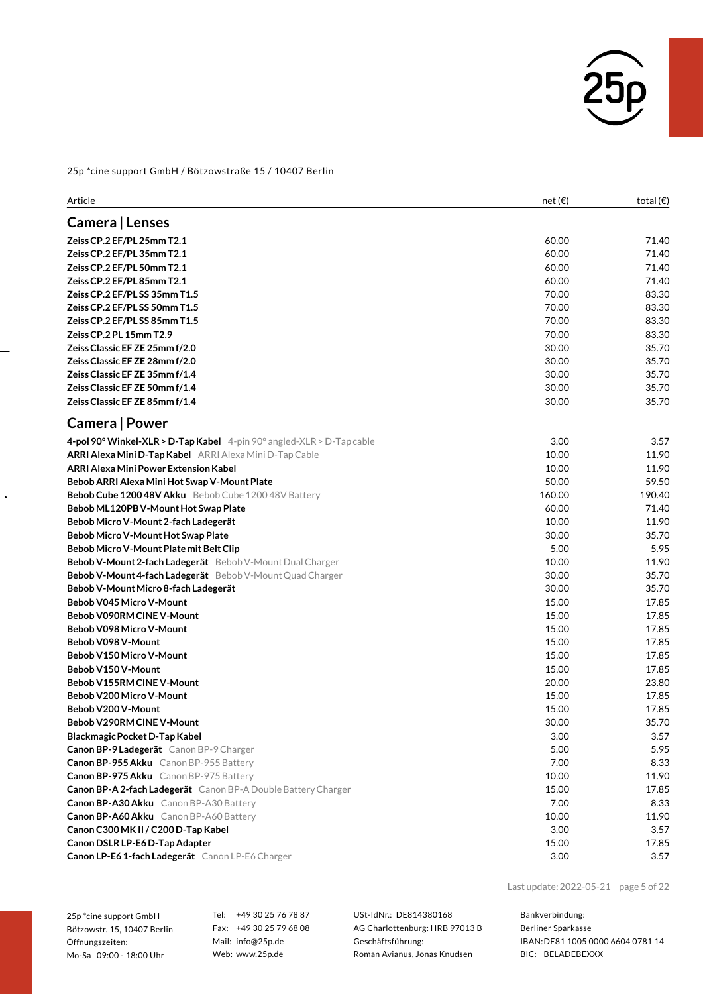

| Article                                                               | net(E) | total $(\epsilon)$ |
|-----------------------------------------------------------------------|--------|--------------------|
| Camera   Lenses                                                       |        |                    |
| Zeiss CP.2 EF/PL 25mm T2.1                                            | 60.00  | 71.40              |
| Zeiss CP.2 EF/PL 35mm T2.1                                            | 60.00  | 71.40              |
| Zeiss CP.2 EF/PL 50mm T2.1                                            | 60.00  | 71.40              |
| Zeiss CP.2 EF/PL 85mm T2.1                                            | 60.00  | 71.40              |
| Zeiss CP.2 EF/PL SS 35mm T1.5                                         | 70.00  | 83.30              |
| Zeiss CP.2 EF/PL SS 50mm T1.5                                         | 70.00  | 83.30              |
| Zeiss CP.2 EF/PL SS 85mm T1.5                                         | 70.00  | 83.30              |
| Zeiss CP.2 PL 15mm T2.9                                               | 70.00  | 83.30              |
| Zeiss Classic EF ZE 25mm f/2.0                                        | 30.00  | 35.70              |
| Zeiss Classic EF ZE 28mm f/2.0                                        | 30.00  | 35.70              |
| Zeiss Classic EF ZE 35mm f/1.4                                        | 30.00  | 35.70              |
| Zeiss Classic EF ZE 50mm f/1.4                                        | 30.00  | 35.70              |
| Zeiss Classic EF ZE 85mm f/1.4                                        | 30.00  | 35.70              |
| Camera   Power                                                        |        |                    |
| 4-pol 90° Winkel-XLR > D-Tap Kabel 4-pin 90° angled-XLR > D-Tap cable | 3.00   | 3.57               |
| ARRI Alexa Mini D-Tap Kabel ARRI Alexa Mini D-Tap Cable               | 10.00  | 11.90              |
| ARRI Alexa Mini Power Extension Kabel                                 | 10.00  | 11.90              |
| Bebob ARRI Alexa Mini Hot Swap V-Mount Plate                          | 50.00  | 59.50              |
| <b>Bebob Cube 1200 48V Akku</b> Bebob Cube 1200 48V Battery           | 160.00 | 190.40             |
| Bebob ML120PB V-Mount Hot Swap Plate                                  | 60.00  | 71.40              |
| Bebob Micro V-Mount 2-fach Ladegerät                                  | 10.00  | 11.90              |
| Bebob Micro V-Mount Hot Swap Plate                                    | 30.00  | 35.70              |
| Bebob Micro V-Mount Plate mit Belt Clip                               | 5.00   | 5.95               |
| Bebob V-Mount 2-fach Ladegerät Bebob V-Mount Dual Charger             | 10.00  | 11.90              |
| Bebob V-Mount 4-fach Ladegerät Bebob V-Mount Quad Charger             | 30.00  | 35.70              |
| Bebob V-Mount Micro 8-fach Ladegerät                                  | 30.00  | 35.70              |
| Bebob V045 Micro V-Mount                                              | 15.00  | 17.85              |
| Bebob V090RM CINE V-Mount                                             | 15.00  | 17.85              |
| Bebob V098 Micro V-Mount                                              | 15.00  | 17.85              |
| Bebob V098 V-Mount                                                    | 15.00  | 17.85              |
| Bebob V150 Micro V-Mount                                              | 15.00  | 17.85              |
| Bebob V150 V-Mount                                                    | 15.00  | 17.85              |
| Bebob V155RM CINE V-Mount                                             | 20.00  | 23.80              |
| Bebob V200 Micro V-Mount                                              | 15.00  | 17.85              |
| Bebob V200 V-Mount                                                    | 15.00  | 17.85              |
| Bebob V290RM CINE V-Mount                                             | 30.00  | 35.70              |
| Blackmagic Pocket D-Tap Kabel                                         | 3.00   | 3.57               |
| Canon BP-9 Ladegerät Canon BP-9 Charger                               | 5.00   | 5.95               |
| Canon BP-955 Akku Canon BP-955 Battery                                | 7.00   | 8.33               |
| Canon BP-975 Akku Canon BP-975 Battery                                | 10.00  | 11.90              |
| Canon BP-A 2-fach Ladegerät Canon BP-A Double Battery Charger         | 15.00  | 17.85              |
| Canon BP-A30 Akku Canon BP-A30 Battery                                | 7.00   | 8.33               |
| <b>Canon BP-A60 Akku</b> Canon BP-A60 Battery                         | 10.00  | 11.90              |
| Canon C300 MK II / C200 D-Tap Kabel                                   | 3.00   | 3.57               |
| Canon DSLR LP-E6 D-Tap Adapter                                        | 15.00  | 17.85              |
| Canon LP-E6 1-fach Ladegerät Canon LP-E6 Charger                      | 3.00   | 3.57               |

25p \*cine support GmbH Bötzowstr. 15, 10407 Berlin Öffnungszeiten: Mo-Sa 09:00 - 18:00 Uhr

 $\ddot{\phantom{0}}$ 

Tel: +49 30 25 76 78 87 Fax: +49 30 25 79 68 08 Mail: info@25p.de Web: www.25p.de

USt-IdNr.: DE814380168 AG Charlottenburg: HRB 97013 B Geschäftsführung: Roman Avianus, Jonas Knudsen

Last update:2022-05-21 page 5 of 22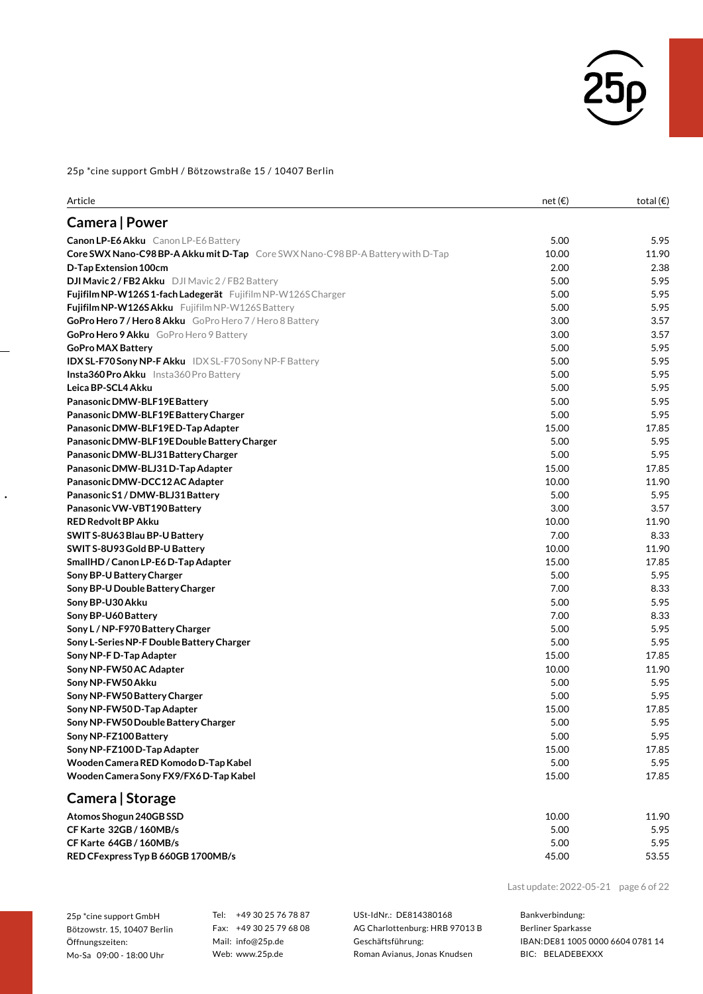

| Article                                                                                | net(E) | total $(\epsilon)$ |
|----------------------------------------------------------------------------------------|--------|--------------------|
| Camera   Power                                                                         |        |                    |
| Canon LP-E6 Akku Canon LP-E6 Battery                                                   | 5.00   | 5.95               |
| <b>Core SWX Nano-C98 BP-A Akku mit D-Tap</b> Core SWX Nano-C98 BP-A Battery with D-Tap | 10.00  | 11.90              |
| D-Tap Extension 100cm                                                                  | 2.00   | 2.38               |
| DJI Mavic 2 / FB2 Akku DJI Mavic 2 / FB2 Battery                                       | 5.00   | 5.95               |
| Fujifilm NP-W126S1-fach Ladegerät Fujifilm NP-W126S Charger                            | 5.00   | 5.95               |
| Fujifilm NP-W126S Akku Fujifilm NP-W126S Battery                                       | 5.00   | 5.95               |
| <b>GoPro Hero 7 / Hero 8 Akku</b> GoPro Hero 7 / Hero 8 Battery                        | 3.00   | 3.57               |
| GoPro Hero 9 Akku GoPro Hero 9 Battery                                                 | 3.00   | 3.57               |
| <b>GoPro MAX Battery</b>                                                               | 5.00   | 5.95               |
| <b>IDX SL-F70 Sony NP-F Akku</b> IDX SL-F70 Sony NP-F Battery                          | 5.00   | 5.95               |
| <b>Insta360 Pro Akku</b> Insta360 Pro Battery                                          | 5.00   | 5.95               |
| Leica BP-SCL4 Akku                                                                     | 5.00   | 5.95               |
| Panasonic DMW-BLF19E Battery                                                           | 5.00   | 5.95               |
| Panasonic DMW-BLF19E Battery Charger                                                   | 5.00   | 5.95               |
| Panasonic DMW-BLF19ED-Tap Adapter                                                      | 15.00  | 17.85              |
| Panasonic DMW-BLF19E Double Battery Charger                                            | 5.00   | 5.95               |
| Panasonic DMW-BLJ31 Battery Charger                                                    | 5.00   | 5.95               |
| Panasonic DMW-BLJ31 D-Tap Adapter                                                      | 15.00  | 17.85              |
| Panasonic DMW-DCC12AC Adapter                                                          | 10.00  | 11.90              |
| Panasonic S1 / DMW-BLJ31 Battery                                                       | 5.00   | 5.95               |
| Panasonic VW-VBT190 Battery                                                            | 3.00   | 3.57               |
| <b>RED Redvolt BP Akku</b>                                                             | 10.00  | 11.90              |
| SWIT S-8U63 Blau BP-U Battery                                                          | 7.00   | 8.33               |
| SWIT S-8U93 Gold BP-U Battery                                                          | 10.00  | 11.90              |
| SmallHD / Canon LP-E6 D-Tap Adapter                                                    | 15.00  | 17.85              |
| Sony BP-U Battery Charger                                                              | 5.00   | 5.95               |
| Sony BP-U Double Battery Charger                                                       | 7.00   | 8.33               |
| Sony BP-U30 Akku                                                                       | 5.00   | 5.95               |
| Sony BP-U60 Battery                                                                    | 7.00   | 8.33               |
| Sony L / NP-F970 Battery Charger                                                       | 5.00   | 5.95               |
| Sony L-Series NP-F Double Battery Charger                                              | 5.00   | 5.95               |
| Sony NP-F D-Tap Adapter                                                                | 15.00  | 17.85              |
| Sony NP-FW50 AC Adapter                                                                | 10.00  | 11.90              |
| Sony NP-FW50 Akku                                                                      | 5.00   | 5.95               |
| Sony NP-FW50 Battery Charger                                                           | 5.00   | 5.95               |
| Sony NP-FW50D-Tap Adapter                                                              | 15.00  | 17.85              |
| Sony NP-FW50 Double Battery Charger                                                    | 5.00   | 5.95               |
| Sony NP-FZ100 Battery                                                                  | 5.00   | 5.95               |
| Sony NP-FZ100 D-Tap Adapter                                                            | 15.00  | 17.85              |
| Wooden Camera RED Komodo D-Tap Kabel                                                   | 5.00   | 5.95               |
| Wooden Camera Sony FX9/FX6D-Tap Kabel                                                  | 15.00  | 17.85              |
| Camera   Storage                                                                       |        |                    |
| Atomos Shogun 240GB SSD                                                                | 10.00  | 11.90              |
| CF Karte 32GB / 160MB/s                                                                | 5.00   | 5.95               |
| CF Karte 64GB / 160MB/s                                                                | 5.00   | 5.95               |
| RED CFexpress Typ B 660GB 1700MB/s                                                     | 45.00  | 53.55              |

Last update:2022-05-21 page 6 of 22

25p \*cine support GmbH Bötzowstr. 15, 10407 Berlin Öffnungszeiten: Mo-Sa 09:00 - 18:00 Uhr

 $\ddot{\phantom{0}}$ 

Tel: +49 30 25 76 78 87 Fax: +49 30 25 79 68 08 Mail: info@25p.de Web: www.25p.de

USt-IdNr.: DE814380168 AG Charlottenburg: HRB 97013 B Geschäftsführung: Roman Avianus, Jonas Knudsen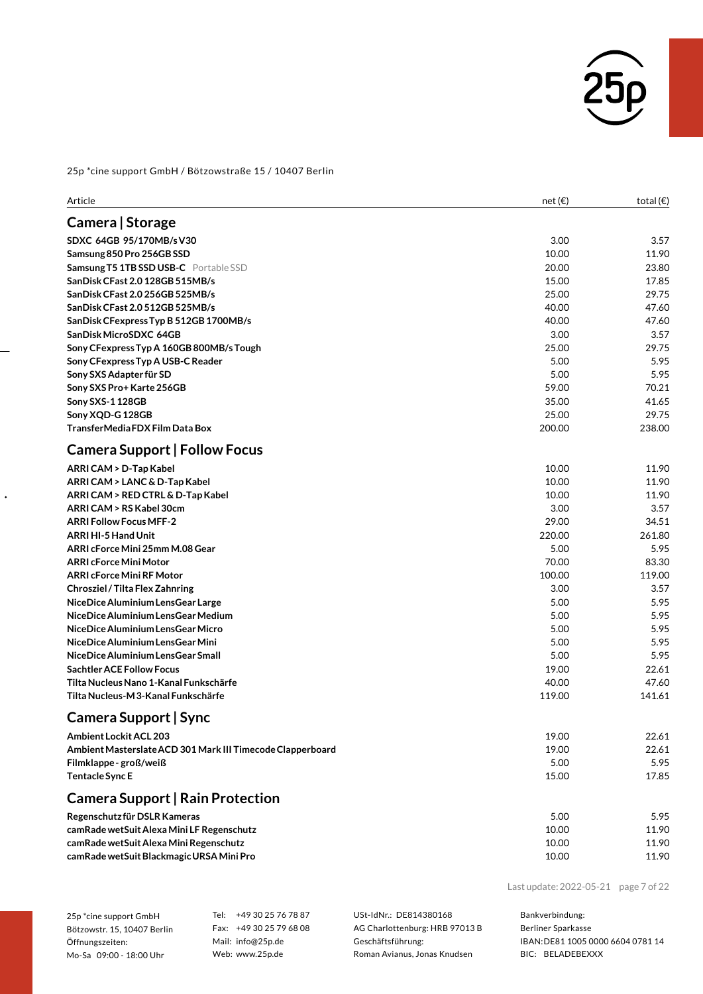

| Article                                                    | net $(\epsilon)$ | total $(\epsilon)$ |
|------------------------------------------------------------|------------------|--------------------|
| Camera   Storage                                           |                  |                    |
| SDXC 64GB 95/170MB/sV30                                    | 3.00             | 3.57               |
| Samsung 850 Pro 256GB SSD                                  | 10.00            | 11.90              |
| Samsung T5 1TB SSD USB-C Portable SSD                      | 20.00            | 23.80              |
| SanDisk CFast 2.0 128GB 515MB/s                            | 15.00            | 17.85              |
| SanDisk CFast 2.0 256GB 525MB/s                            | 25.00            | 29.75              |
| SanDisk CFast 2.0 512GB 525MB/s                            | 40.00            | 47.60              |
| SanDisk CFexpress Typ B 512GB 1700MB/s                     | 40.00            | 47.60              |
| SanDisk MicroSDXC 64GB                                     | 3.00             | 3.57               |
| Sony CFexpress Typ A 160GB 800MB/s Tough                   | 25.00            | 29.75              |
| Sony CFexpress Typ A USB-C Reader                          | 5.00             | 5.95               |
| Sony SXS Adapter für SD                                    | 5.00             | 5.95               |
| Sony SXS Pro+ Karte 256GB                                  | 59.00            | 70.21              |
| Sony SXS-1 128GB                                           | 35.00            | 41.65              |
| Sony XQD-G 128GB                                           | 25.00            | 29.75              |
| TransferMedia FDX Film Data Box                            | 200.00           | 238.00             |
| <b>Camera Support   Follow Focus</b>                       |                  |                    |
| ARRI CAM > D-Tap Kabel                                     | 10.00            | 11.90              |
| ARRI CAM > LANC & D-Tap Kabel                              | 10.00            | 11.90              |
| ARRI CAM > RED CTRL & D-Tap Kabel                          | 10.00            | 11.90              |
| ARRI CAM > RS Kabel 30cm                                   | 3.00             | 3.57               |
| <b>ARRI Follow Focus MFF-2</b>                             | 29.00            | 34.51              |
| <b>ARRI HI-5 Hand Unit</b>                                 | 220.00           | 261.80             |
| ARRI cForce Mini 25mm M.08 Gear                            | 5.00             | 5.95               |
| <b>ARRI cForce Mini Motor</b>                              | 70.00            | 83.30              |
| <b>ARRI cForce Mini RF Motor</b>                           | 100.00           | 119.00             |
| Chrosziel / Tilta Flex Zahnring                            | 3.00             | 3.57               |
| NiceDice Aluminium LensGear Large                          | 5.00             | 5.95               |
| NiceDice Aluminium LensGear Medium                         | 5.00             | 5.95               |
| NiceDice Aluminium LensGear Micro                          | 5.00             | 5.95               |
| NiceDice Aluminium LensGear Mini                           | 5.00             | 5.95               |
| NiceDice Aluminium LensGear Small                          | 5.00             | 5.95               |
| <b>Sachtler ACE Follow Focus</b>                           | 19.00            | 22.61              |
| Tilta Nucleus Nano 1-Kanal Funkschärfe                     | 40.00            | 47.60              |
| Tilta Nucleus-M 3-Kanal Funkschärfe                        | 119.00           | 141.61             |
| Camera Support   Sync                                      |                  |                    |
| Ambient Lockit ACL 203                                     | 19.00            | 22.61              |
| Ambient Masterslate ACD 301 Mark III Timecode Clapperboard | 19.00            | 22.61              |
| Filmklappe-groß/weiß                                       | 5.00             | 5.95               |
| <b>Tentacle Sync E</b>                                     | 15.00            | 17.85              |
| <b>Camera Support   Rain Protection</b>                    |                  |                    |
| Regenschutz für DSLR Kameras                               | 5.00             | 5.95               |
| camRade wetSuit Alexa Mini LF Regenschutz                  | 10.00            | 11.90              |
| camRade wetSuit Alexa Mini Regenschutz                     | 10.00            | 11.90              |
| camRade wetSuit Blackmagic URSA Mini Pro                   | 10.00            | 11.90              |
|                                                            |                  |                    |

Last update:2022-05-21 page 7 of 22

| 25p *cine support GmbH      |
|-----------------------------|
| Bötzowstr. 15, 10407 Berlin |
| Öffnungszeiten:             |
| Mo-Sa 09:00 - 18:00 Uhr     |

 $\ddot{\phantom{0}}$ 

Tel: +49 30 25 76 78 87 Fax: +49 30 25 79 68 08 Mail: info@25p.de Web: www.25p.de

USt-IdNr.: DE814380168 AG Charlottenburg: HRB 97013 B Geschäftsführung: Roman Avianus, Jonas Knudsen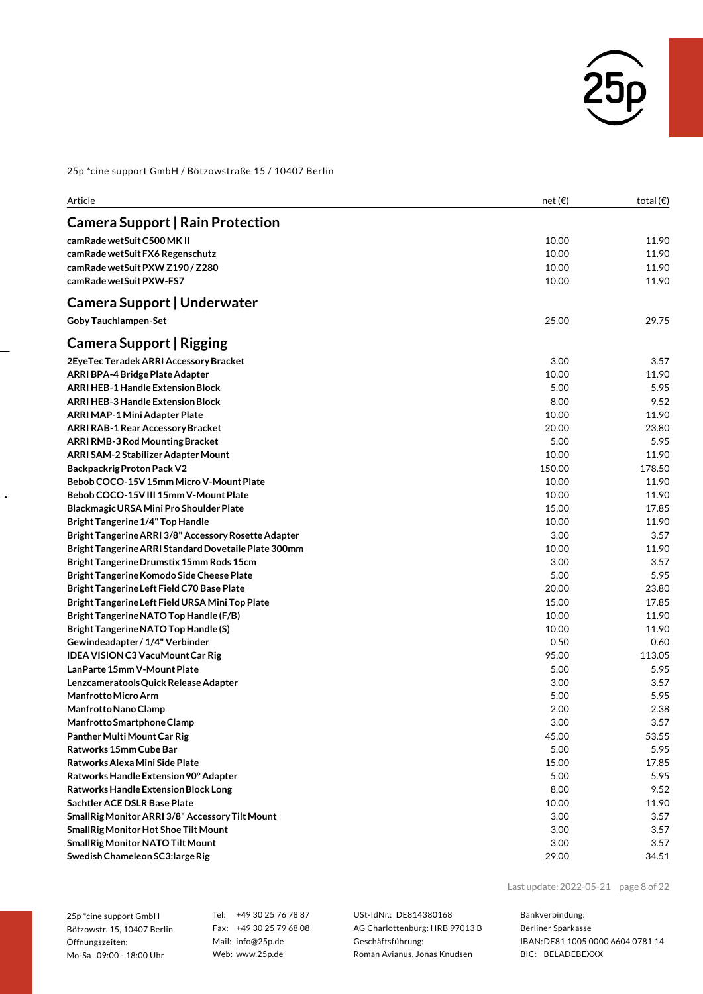

| Article                                              | net(E) | total $(\epsilon)$ |
|------------------------------------------------------|--------|--------------------|
| <b>Camera Support   Rain Protection</b>              |        |                    |
| camRade wetSuit C500 MK II                           | 10.00  | 11.90              |
| camRade wetSuit FX6 Regenschutz                      | 10.00  | 11.90              |
| camRade wetSuit PXW Z190 / Z280                      | 10.00  | 11.90              |
| camRade wetSuit PXW-FS7                              | 10.00  | 11.90              |
| Camera Support   Underwater                          |        |                    |
| <b>Goby Tauchlampen-Set</b>                          | 25.00  | 29.75              |
| Camera Support   Rigging                             |        |                    |
| 2EyeTec Teradek ARRI Accessory Bracket               | 3.00   | 3.57               |
| <b>ARRI BPA-4 Bridge Plate Adapter</b>               | 10.00  | 11.90              |
| <b>ARRI HEB-1 Handle Extension Block</b>             | 5.00   | 5.95               |
| <b>ARRI HEB-3 Handle Extension Block</b>             | 8.00   | 9.52               |
| ARRI MAP-1 Mini Adapter Plate                        | 10.00  | 11.90              |
| <b>ARRI RAB-1 Rear Accessory Bracket</b>             | 20.00  | 23.80              |
| ARRI RMB-3 Rod Mounting Bracket                      | 5.00   | 5.95               |
| ARRI SAM-2 Stabilizer Adapter Mount                  | 10.00  | 11.90              |
| <b>Backpackrig Proton Pack V2</b>                    | 150.00 | 178.50             |
| Bebob COCO-15V 15mm Micro V-Mount Plate              | 10.00  | 11.90              |
| Bebob COCO-15V III 15mm V-Mount Plate                | 10.00  | 11.90              |
| Blackmagic URSA Mini Pro Shoulder Plate              | 15.00  | 17.85              |
| <b>Bright Tangerine 1/4" Top Handle</b>              | 10.00  | 11.90              |
| Bright Tangerine ARRI 3/8" Accessory Rosette Adapter | 3.00   | 3.57               |
| Bright Tangerine ARRI Standard Dovetaile Plate 300mm | 10.00  | 11.90              |
| Bright Tangerine Drumstix 15mm Rods 15cm             | 3.00   | 3.57               |
| Bright Tangerine Komodo Side Cheese Plate            | 5.00   | 5.95               |
| Bright Tangerine Left Field C70 Base Plate           | 20.00  | 23.80              |
| Bright Tangerine Left Field URSA Mini Top Plate      | 15.00  | 17.85              |
| Bright Tangerine NATO Top Handle (F/B)               | 10.00  | 11.90              |
| Bright Tangerine NATO Top Handle (S)                 | 10.00  | 11.90              |
| Gewindeadapter / 1/4" Verbinder                      | 0.50   | 0.60               |
| <b>IDEA VISION C3 VacuMount Car Rig</b>              | 95.00  | 113.05             |
| LanParte 15mm V-Mount Plate                          | 5.00   | 5.95               |
| Lenzcameratools Quick Release Adapter                | 3.00   | 3.57               |
| <b>Manfrotto Micro Arm</b>                           | 5.00   | 5.95               |
| Manfrotto Nano Clamp                                 | 2.00   | 2.38               |
| Manfrotto Smartphone Clamp                           | 3.00   | 3.57               |
| Panther Multi Mount Car Rig                          | 45.00  | 53.55              |
| Ratworks 15mm Cube Bar                               | 5.00   | 5.95               |
| Ratworks Alexa Mini Side Plate                       | 15.00  | 17.85              |
| Ratworks Handle Extension 90° Adapter                | 5.00   | 5.95               |
| Ratworks Handle Extension Block Long                 | 8.00   | 9.52               |
| Sachtler ACE DSLR Base Plate                         | 10.00  | 11.90              |
| SmallRig Monitor ARRI 3/8" Accessory Tilt Mount      | 3.00   | 3.57               |
| SmallRig Monitor Hot Shoe Tilt Mount                 | 3.00   | 3.57               |
| SmallRig Monitor NATO Tilt Mount                     | 3.00   | 3.57               |
| Swedish Chameleon SC3: large Rig                     | 29.00  | 34.51              |

25p \*cine support GmbH Bötzowstr. 15, 10407 Berlin Öffnungszeiten: Mo-Sa 09:00 - 18:00 Uhr

 $\ddot{\phantom{0}}$ 

Tel: +49 30 25 76 78 87 Fax: +49 30 25 79 68 08 Mail: info@25p.de Web: www.25p.de

USt-IdNr.: DE814380168 AG Charlottenburg: HRB 97013 B Geschäftsführung: Roman Avianus, Jonas Knudsen

Last update:2022-05-21 page 8 of 22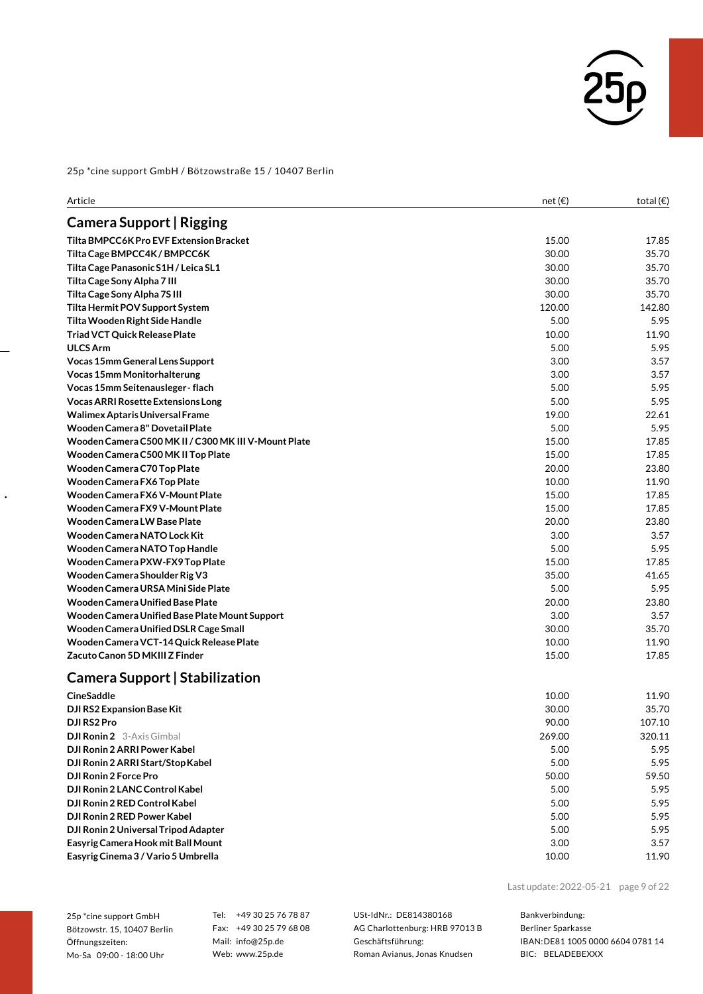

| <b>Camera Support   Rigging</b><br>Tilta BMPCC6K Pro EVF Extension Bracket<br>15.00<br>17.85<br>30.00<br>Tilta Cage BMPCC4K / BMPCC6K<br>35.70<br>30.00<br>Tilta Cage Panasonic S1H / Leica SL1<br>35.70<br>30.00<br>Tilta Cage Sony Alpha 7 III<br>35.70<br>Tilta Cage Sony Alpha 7S III<br>30.00<br>35.70<br>120.00<br>142.80<br>Tilta Hermit POV Support System<br>5.00<br>5.95<br>Tilta Wooden Right Side Handle<br><b>Triad VCT Quick Release Plate</b><br>10.00<br>11.90<br><b>ULCS Arm</b><br>5.00<br>5.95<br>3.00<br>3.57<br>Vocas 15mm General Lens Support<br><b>Vocas 15mm Monitorhalterung</b><br>3.00<br>3.57<br>5.95<br>Vocas 15mm Seitenausleger - flach<br>5.00<br>5.00<br>5.95<br><b>Vocas ARRI Rosette Extensions Long</b><br>Walimex Aptaris Universal Frame<br>19.00<br>22.61<br>5.95<br>Wooden Camera 8" Dovetail Plate<br>5.00<br>Wooden Camera C500 MK II / C300 MK III V-Mount Plate<br>15.00<br>17.85<br>Wooden Camera C500 MK II Top Plate<br>15.00<br>17.85<br>Wooden Camera C70 Top Plate<br>20.00<br>23.80<br>Wooden Camera FX6 Top Plate<br>10.00<br>11.90<br>Wooden Camera FX6 V-Mount Plate<br>15.00<br>17.85<br>Wooden Camera FX9 V-Mount Plate<br>15.00<br>17.85<br><b>Wooden Camera LW Base Plate</b><br>20.00<br>23.80<br>Wooden Camera NATO Lock Kit<br>3.00<br>3.57<br>Wooden Camera NATO Top Handle<br>5.00<br>5.95<br>15.00<br>Wooden Camera PXW-FX9 Top Plate<br>17.85<br>Wooden Camera Shoulder Rig V3<br>35.00<br>41.65<br>Wooden Camera URSA Mini Side Plate<br>5.00<br>5.95<br>Wooden Camera Unified Base Plate<br>20.00<br>23.80<br>3.00<br>Wooden Camera Unified Base Plate Mount Support<br>3.57<br>30.00<br>Wooden Camera Unified DSLR Cage Small<br>35.70<br>Wooden Camera VCT-14 Quick Release Plate<br>10.00<br>11.90<br>Zacuto Canon 5D MKIII Z Finder<br>15.00<br>17.85<br>Camera Support   Stabilization<br><b>CineSaddle</b><br>10.00<br>11.90<br>30.00<br>35.70<br>DJI RS2 Expansion Base Kit<br>90.00<br>107.10<br>DJI RS2 Pro<br><b>DJI Ronin 2</b> 3-Axis Gimbal<br>269.00<br>320.11<br>DJI Ronin 2 ARRI Power Kabel<br>5.95<br>5.00<br>DJI Ronin 2 ARRI Start/Stop Kabel<br>5.95<br>5.00<br>DJI Ronin 2 Force Pro<br>50.00<br>59.50<br>DJI Ronin 2 LANC Control Kabel<br>5.95<br>5.00<br>DJI Ronin 2 RED Control Kabel<br>5.95<br>5.00<br>DJI Ronin 2 RED Power Kabel<br>5.00<br>5.95<br>DJI Ronin 2 Universal Tripod Adapter<br>5.00<br>5.95<br>Easyrig Camera Hook mit Ball Mount<br>3.00<br>3.57<br>Easyrig Cinema 3 / Vario 5 Umbrella<br>10.00<br>11.90 | Article | net $(\epsilon)$ | total $(\epsilon)$ |
|---------------------------------------------------------------------------------------------------------------------------------------------------------------------------------------------------------------------------------------------------------------------------------------------------------------------------------------------------------------------------------------------------------------------------------------------------------------------------------------------------------------------------------------------------------------------------------------------------------------------------------------------------------------------------------------------------------------------------------------------------------------------------------------------------------------------------------------------------------------------------------------------------------------------------------------------------------------------------------------------------------------------------------------------------------------------------------------------------------------------------------------------------------------------------------------------------------------------------------------------------------------------------------------------------------------------------------------------------------------------------------------------------------------------------------------------------------------------------------------------------------------------------------------------------------------------------------------------------------------------------------------------------------------------------------------------------------------------------------------------------------------------------------------------------------------------------------------------------------------------------------------------------------------------------------------------------------------------------------------------------------------------------------------------------------------------------------------------------------------------------------------------------------------------------------------------------------------------------------------------------------------------------------------------------------------------------------------------------------------------------------------------------------------------------------------------------------------------------------------------------------------------------|---------|------------------|--------------------|
|                                                                                                                                                                                                                                                                                                                                                                                                                                                                                                                                                                                                                                                                                                                                                                                                                                                                                                                                                                                                                                                                                                                                                                                                                                                                                                                                                                                                                                                                                                                                                                                                                                                                                                                                                                                                                                                                                                                                                                                                                                                                                                                                                                                                                                                                                                                                                                                                                                                                                                                           |         |                  |                    |
|                                                                                                                                                                                                                                                                                                                                                                                                                                                                                                                                                                                                                                                                                                                                                                                                                                                                                                                                                                                                                                                                                                                                                                                                                                                                                                                                                                                                                                                                                                                                                                                                                                                                                                                                                                                                                                                                                                                                                                                                                                                                                                                                                                                                                                                                                                                                                                                                                                                                                                                           |         |                  |                    |
|                                                                                                                                                                                                                                                                                                                                                                                                                                                                                                                                                                                                                                                                                                                                                                                                                                                                                                                                                                                                                                                                                                                                                                                                                                                                                                                                                                                                                                                                                                                                                                                                                                                                                                                                                                                                                                                                                                                                                                                                                                                                                                                                                                                                                                                                                                                                                                                                                                                                                                                           |         |                  |                    |
|                                                                                                                                                                                                                                                                                                                                                                                                                                                                                                                                                                                                                                                                                                                                                                                                                                                                                                                                                                                                                                                                                                                                                                                                                                                                                                                                                                                                                                                                                                                                                                                                                                                                                                                                                                                                                                                                                                                                                                                                                                                                                                                                                                                                                                                                                                                                                                                                                                                                                                                           |         |                  |                    |
|                                                                                                                                                                                                                                                                                                                                                                                                                                                                                                                                                                                                                                                                                                                                                                                                                                                                                                                                                                                                                                                                                                                                                                                                                                                                                                                                                                                                                                                                                                                                                                                                                                                                                                                                                                                                                                                                                                                                                                                                                                                                                                                                                                                                                                                                                                                                                                                                                                                                                                                           |         |                  |                    |
|                                                                                                                                                                                                                                                                                                                                                                                                                                                                                                                                                                                                                                                                                                                                                                                                                                                                                                                                                                                                                                                                                                                                                                                                                                                                                                                                                                                                                                                                                                                                                                                                                                                                                                                                                                                                                                                                                                                                                                                                                                                                                                                                                                                                                                                                                                                                                                                                                                                                                                                           |         |                  |                    |
|                                                                                                                                                                                                                                                                                                                                                                                                                                                                                                                                                                                                                                                                                                                                                                                                                                                                                                                                                                                                                                                                                                                                                                                                                                                                                                                                                                                                                                                                                                                                                                                                                                                                                                                                                                                                                                                                                                                                                                                                                                                                                                                                                                                                                                                                                                                                                                                                                                                                                                                           |         |                  |                    |
|                                                                                                                                                                                                                                                                                                                                                                                                                                                                                                                                                                                                                                                                                                                                                                                                                                                                                                                                                                                                                                                                                                                                                                                                                                                                                                                                                                                                                                                                                                                                                                                                                                                                                                                                                                                                                                                                                                                                                                                                                                                                                                                                                                                                                                                                                                                                                                                                                                                                                                                           |         |                  |                    |
|                                                                                                                                                                                                                                                                                                                                                                                                                                                                                                                                                                                                                                                                                                                                                                                                                                                                                                                                                                                                                                                                                                                                                                                                                                                                                                                                                                                                                                                                                                                                                                                                                                                                                                                                                                                                                                                                                                                                                                                                                                                                                                                                                                                                                                                                                                                                                                                                                                                                                                                           |         |                  |                    |
|                                                                                                                                                                                                                                                                                                                                                                                                                                                                                                                                                                                                                                                                                                                                                                                                                                                                                                                                                                                                                                                                                                                                                                                                                                                                                                                                                                                                                                                                                                                                                                                                                                                                                                                                                                                                                                                                                                                                                                                                                                                                                                                                                                                                                                                                                                                                                                                                                                                                                                                           |         |                  |                    |
|                                                                                                                                                                                                                                                                                                                                                                                                                                                                                                                                                                                                                                                                                                                                                                                                                                                                                                                                                                                                                                                                                                                                                                                                                                                                                                                                                                                                                                                                                                                                                                                                                                                                                                                                                                                                                                                                                                                                                                                                                                                                                                                                                                                                                                                                                                                                                                                                                                                                                                                           |         |                  |                    |
|                                                                                                                                                                                                                                                                                                                                                                                                                                                                                                                                                                                                                                                                                                                                                                                                                                                                                                                                                                                                                                                                                                                                                                                                                                                                                                                                                                                                                                                                                                                                                                                                                                                                                                                                                                                                                                                                                                                                                                                                                                                                                                                                                                                                                                                                                                                                                                                                                                                                                                                           |         |                  |                    |
|                                                                                                                                                                                                                                                                                                                                                                                                                                                                                                                                                                                                                                                                                                                                                                                                                                                                                                                                                                                                                                                                                                                                                                                                                                                                                                                                                                                                                                                                                                                                                                                                                                                                                                                                                                                                                                                                                                                                                                                                                                                                                                                                                                                                                                                                                                                                                                                                                                                                                                                           |         |                  |                    |
|                                                                                                                                                                                                                                                                                                                                                                                                                                                                                                                                                                                                                                                                                                                                                                                                                                                                                                                                                                                                                                                                                                                                                                                                                                                                                                                                                                                                                                                                                                                                                                                                                                                                                                                                                                                                                                                                                                                                                                                                                                                                                                                                                                                                                                                                                                                                                                                                                                                                                                                           |         |                  |                    |
|                                                                                                                                                                                                                                                                                                                                                                                                                                                                                                                                                                                                                                                                                                                                                                                                                                                                                                                                                                                                                                                                                                                                                                                                                                                                                                                                                                                                                                                                                                                                                                                                                                                                                                                                                                                                                                                                                                                                                                                                                                                                                                                                                                                                                                                                                                                                                                                                                                                                                                                           |         |                  |                    |
|                                                                                                                                                                                                                                                                                                                                                                                                                                                                                                                                                                                                                                                                                                                                                                                                                                                                                                                                                                                                                                                                                                                                                                                                                                                                                                                                                                                                                                                                                                                                                                                                                                                                                                                                                                                                                                                                                                                                                                                                                                                                                                                                                                                                                                                                                                                                                                                                                                                                                                                           |         |                  |                    |
|                                                                                                                                                                                                                                                                                                                                                                                                                                                                                                                                                                                                                                                                                                                                                                                                                                                                                                                                                                                                                                                                                                                                                                                                                                                                                                                                                                                                                                                                                                                                                                                                                                                                                                                                                                                                                                                                                                                                                                                                                                                                                                                                                                                                                                                                                                                                                                                                                                                                                                                           |         |                  |                    |
|                                                                                                                                                                                                                                                                                                                                                                                                                                                                                                                                                                                                                                                                                                                                                                                                                                                                                                                                                                                                                                                                                                                                                                                                                                                                                                                                                                                                                                                                                                                                                                                                                                                                                                                                                                                                                                                                                                                                                                                                                                                                                                                                                                                                                                                                                                                                                                                                                                                                                                                           |         |                  |                    |
|                                                                                                                                                                                                                                                                                                                                                                                                                                                                                                                                                                                                                                                                                                                                                                                                                                                                                                                                                                                                                                                                                                                                                                                                                                                                                                                                                                                                                                                                                                                                                                                                                                                                                                                                                                                                                                                                                                                                                                                                                                                                                                                                                                                                                                                                                                                                                                                                                                                                                                                           |         |                  |                    |
|                                                                                                                                                                                                                                                                                                                                                                                                                                                                                                                                                                                                                                                                                                                                                                                                                                                                                                                                                                                                                                                                                                                                                                                                                                                                                                                                                                                                                                                                                                                                                                                                                                                                                                                                                                                                                                                                                                                                                                                                                                                                                                                                                                                                                                                                                                                                                                                                                                                                                                                           |         |                  |                    |
|                                                                                                                                                                                                                                                                                                                                                                                                                                                                                                                                                                                                                                                                                                                                                                                                                                                                                                                                                                                                                                                                                                                                                                                                                                                                                                                                                                                                                                                                                                                                                                                                                                                                                                                                                                                                                                                                                                                                                                                                                                                                                                                                                                                                                                                                                                                                                                                                                                                                                                                           |         |                  |                    |
|                                                                                                                                                                                                                                                                                                                                                                                                                                                                                                                                                                                                                                                                                                                                                                                                                                                                                                                                                                                                                                                                                                                                                                                                                                                                                                                                                                                                                                                                                                                                                                                                                                                                                                                                                                                                                                                                                                                                                                                                                                                                                                                                                                                                                                                                                                                                                                                                                                                                                                                           |         |                  |                    |
|                                                                                                                                                                                                                                                                                                                                                                                                                                                                                                                                                                                                                                                                                                                                                                                                                                                                                                                                                                                                                                                                                                                                                                                                                                                                                                                                                                                                                                                                                                                                                                                                                                                                                                                                                                                                                                                                                                                                                                                                                                                                                                                                                                                                                                                                                                                                                                                                                                                                                                                           |         |                  |                    |
|                                                                                                                                                                                                                                                                                                                                                                                                                                                                                                                                                                                                                                                                                                                                                                                                                                                                                                                                                                                                                                                                                                                                                                                                                                                                                                                                                                                                                                                                                                                                                                                                                                                                                                                                                                                                                                                                                                                                                                                                                                                                                                                                                                                                                                                                                                                                                                                                                                                                                                                           |         |                  |                    |
|                                                                                                                                                                                                                                                                                                                                                                                                                                                                                                                                                                                                                                                                                                                                                                                                                                                                                                                                                                                                                                                                                                                                                                                                                                                                                                                                                                                                                                                                                                                                                                                                                                                                                                                                                                                                                                                                                                                                                                                                                                                                                                                                                                                                                                                                                                                                                                                                                                                                                                                           |         |                  |                    |
|                                                                                                                                                                                                                                                                                                                                                                                                                                                                                                                                                                                                                                                                                                                                                                                                                                                                                                                                                                                                                                                                                                                                                                                                                                                                                                                                                                                                                                                                                                                                                                                                                                                                                                                                                                                                                                                                                                                                                                                                                                                                                                                                                                                                                                                                                                                                                                                                                                                                                                                           |         |                  |                    |
|                                                                                                                                                                                                                                                                                                                                                                                                                                                                                                                                                                                                                                                                                                                                                                                                                                                                                                                                                                                                                                                                                                                                                                                                                                                                                                                                                                                                                                                                                                                                                                                                                                                                                                                                                                                                                                                                                                                                                                                                                                                                                                                                                                                                                                                                                                                                                                                                                                                                                                                           |         |                  |                    |
|                                                                                                                                                                                                                                                                                                                                                                                                                                                                                                                                                                                                                                                                                                                                                                                                                                                                                                                                                                                                                                                                                                                                                                                                                                                                                                                                                                                                                                                                                                                                                                                                                                                                                                                                                                                                                                                                                                                                                                                                                                                                                                                                                                                                                                                                                                                                                                                                                                                                                                                           |         |                  |                    |
|                                                                                                                                                                                                                                                                                                                                                                                                                                                                                                                                                                                                                                                                                                                                                                                                                                                                                                                                                                                                                                                                                                                                                                                                                                                                                                                                                                                                                                                                                                                                                                                                                                                                                                                                                                                                                                                                                                                                                                                                                                                                                                                                                                                                                                                                                                                                                                                                                                                                                                                           |         |                  |                    |
|                                                                                                                                                                                                                                                                                                                                                                                                                                                                                                                                                                                                                                                                                                                                                                                                                                                                                                                                                                                                                                                                                                                                                                                                                                                                                                                                                                                                                                                                                                                                                                                                                                                                                                                                                                                                                                                                                                                                                                                                                                                                                                                                                                                                                                                                                                                                                                                                                                                                                                                           |         |                  |                    |
|                                                                                                                                                                                                                                                                                                                                                                                                                                                                                                                                                                                                                                                                                                                                                                                                                                                                                                                                                                                                                                                                                                                                                                                                                                                                                                                                                                                                                                                                                                                                                                                                                                                                                                                                                                                                                                                                                                                                                                                                                                                                                                                                                                                                                                                                                                                                                                                                                                                                                                                           |         |                  |                    |
|                                                                                                                                                                                                                                                                                                                                                                                                                                                                                                                                                                                                                                                                                                                                                                                                                                                                                                                                                                                                                                                                                                                                                                                                                                                                                                                                                                                                                                                                                                                                                                                                                                                                                                                                                                                                                                                                                                                                                                                                                                                                                                                                                                                                                                                                                                                                                                                                                                                                                                                           |         |                  |                    |
|                                                                                                                                                                                                                                                                                                                                                                                                                                                                                                                                                                                                                                                                                                                                                                                                                                                                                                                                                                                                                                                                                                                                                                                                                                                                                                                                                                                                                                                                                                                                                                                                                                                                                                                                                                                                                                                                                                                                                                                                                                                                                                                                                                                                                                                                                                                                                                                                                                                                                                                           |         |                  |                    |
|                                                                                                                                                                                                                                                                                                                                                                                                                                                                                                                                                                                                                                                                                                                                                                                                                                                                                                                                                                                                                                                                                                                                                                                                                                                                                                                                                                                                                                                                                                                                                                                                                                                                                                                                                                                                                                                                                                                                                                                                                                                                                                                                                                                                                                                                                                                                                                                                                                                                                                                           |         |                  |                    |
|                                                                                                                                                                                                                                                                                                                                                                                                                                                                                                                                                                                                                                                                                                                                                                                                                                                                                                                                                                                                                                                                                                                                                                                                                                                                                                                                                                                                                                                                                                                                                                                                                                                                                                                                                                                                                                                                                                                                                                                                                                                                                                                                                                                                                                                                                                                                                                                                                                                                                                                           |         |                  |                    |
|                                                                                                                                                                                                                                                                                                                                                                                                                                                                                                                                                                                                                                                                                                                                                                                                                                                                                                                                                                                                                                                                                                                                                                                                                                                                                                                                                                                                                                                                                                                                                                                                                                                                                                                                                                                                                                                                                                                                                                                                                                                                                                                                                                                                                                                                                                                                                                                                                                                                                                                           |         |                  |                    |
|                                                                                                                                                                                                                                                                                                                                                                                                                                                                                                                                                                                                                                                                                                                                                                                                                                                                                                                                                                                                                                                                                                                                                                                                                                                                                                                                                                                                                                                                                                                                                                                                                                                                                                                                                                                                                                                                                                                                                                                                                                                                                                                                                                                                                                                                                                                                                                                                                                                                                                                           |         |                  |                    |
|                                                                                                                                                                                                                                                                                                                                                                                                                                                                                                                                                                                                                                                                                                                                                                                                                                                                                                                                                                                                                                                                                                                                                                                                                                                                                                                                                                                                                                                                                                                                                                                                                                                                                                                                                                                                                                                                                                                                                                                                                                                                                                                                                                                                                                                                                                                                                                                                                                                                                                                           |         |                  |                    |
|                                                                                                                                                                                                                                                                                                                                                                                                                                                                                                                                                                                                                                                                                                                                                                                                                                                                                                                                                                                                                                                                                                                                                                                                                                                                                                                                                                                                                                                                                                                                                                                                                                                                                                                                                                                                                                                                                                                                                                                                                                                                                                                                                                                                                                                                                                                                                                                                                                                                                                                           |         |                  |                    |
|                                                                                                                                                                                                                                                                                                                                                                                                                                                                                                                                                                                                                                                                                                                                                                                                                                                                                                                                                                                                                                                                                                                                                                                                                                                                                                                                                                                                                                                                                                                                                                                                                                                                                                                                                                                                                                                                                                                                                                                                                                                                                                                                                                                                                                                                                                                                                                                                                                                                                                                           |         |                  |                    |
|                                                                                                                                                                                                                                                                                                                                                                                                                                                                                                                                                                                                                                                                                                                                                                                                                                                                                                                                                                                                                                                                                                                                                                                                                                                                                                                                                                                                                                                                                                                                                                                                                                                                                                                                                                                                                                                                                                                                                                                                                                                                                                                                                                                                                                                                                                                                                                                                                                                                                                                           |         |                  |                    |
|                                                                                                                                                                                                                                                                                                                                                                                                                                                                                                                                                                                                                                                                                                                                                                                                                                                                                                                                                                                                                                                                                                                                                                                                                                                                                                                                                                                                                                                                                                                                                                                                                                                                                                                                                                                                                                                                                                                                                                                                                                                                                                                                                                                                                                                                                                                                                                                                                                                                                                                           |         |                  |                    |
|                                                                                                                                                                                                                                                                                                                                                                                                                                                                                                                                                                                                                                                                                                                                                                                                                                                                                                                                                                                                                                                                                                                                                                                                                                                                                                                                                                                                                                                                                                                                                                                                                                                                                                                                                                                                                                                                                                                                                                                                                                                                                                                                                                                                                                                                                                                                                                                                                                                                                                                           |         |                  |                    |
|                                                                                                                                                                                                                                                                                                                                                                                                                                                                                                                                                                                                                                                                                                                                                                                                                                                                                                                                                                                                                                                                                                                                                                                                                                                                                                                                                                                                                                                                                                                                                                                                                                                                                                                                                                                                                                                                                                                                                                                                                                                                                                                                                                                                                                                                                                                                                                                                                                                                                                                           |         |                  |                    |
|                                                                                                                                                                                                                                                                                                                                                                                                                                                                                                                                                                                                                                                                                                                                                                                                                                                                                                                                                                                                                                                                                                                                                                                                                                                                                                                                                                                                                                                                                                                                                                                                                                                                                                                                                                                                                                                                                                                                                                                                                                                                                                                                                                                                                                                                                                                                                                                                                                                                                                                           |         |                  |                    |
|                                                                                                                                                                                                                                                                                                                                                                                                                                                                                                                                                                                                                                                                                                                                                                                                                                                                                                                                                                                                                                                                                                                                                                                                                                                                                                                                                                                                                                                                                                                                                                                                                                                                                                                                                                                                                                                                                                                                                                                                                                                                                                                                                                                                                                                                                                                                                                                                                                                                                                                           |         |                  |                    |
|                                                                                                                                                                                                                                                                                                                                                                                                                                                                                                                                                                                                                                                                                                                                                                                                                                                                                                                                                                                                                                                                                                                                                                                                                                                                                                                                                                                                                                                                                                                                                                                                                                                                                                                                                                                                                                                                                                                                                                                                                                                                                                                                                                                                                                                                                                                                                                                                                                                                                                                           |         |                  |                    |

25p \*cine support GmbH Bötzowstr. 15, 10407 Berlin Öffnungszeiten: Mo-Sa 09:00 - 18:00 Uhr

 $\ddot{\phantom{0}}$ 

Tel: +49 30 25 76 78 87 Fax: +49 30 25 79 68 08 Mail: info@25p.de Web: www.25p.de

USt-IdNr.: DE814380168 AG Charlottenburg: HRB 97013 B Geschäftsführung: Roman Avianus, Jonas Knudsen

Last update:2022-05-21 page 9 of 22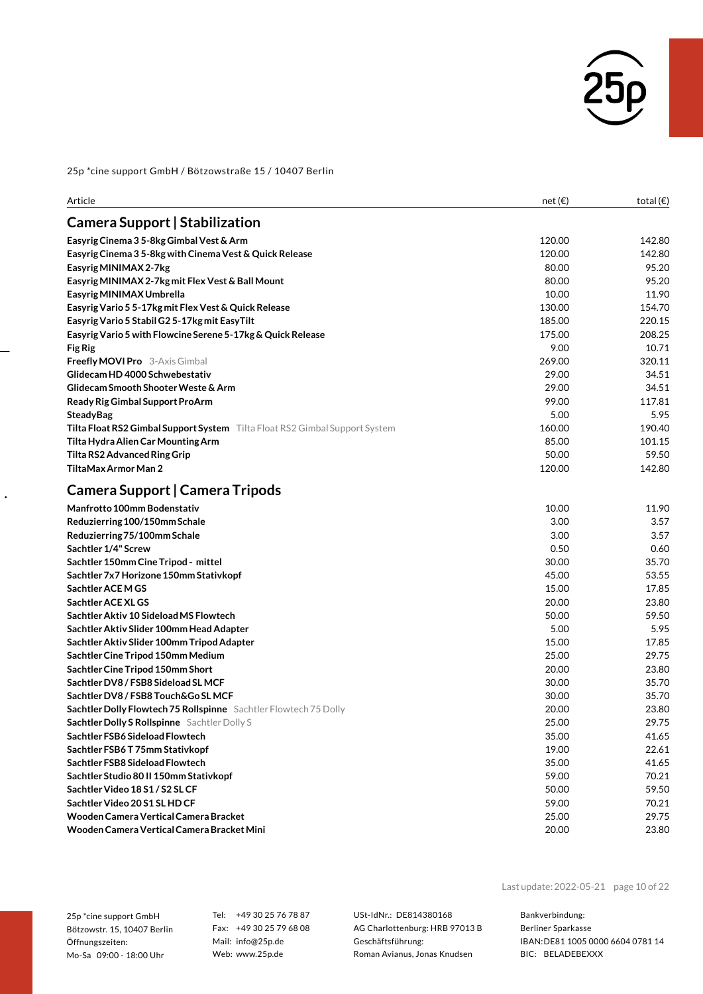

| <b>Camera Support   Stabilization</b><br>Easyrig Cinema 3 5-8kg Gimbal Vest & Arm<br>120.00<br>120.00<br>Easyrig Cinema 35-8kg with Cinema Vest & Quick Release<br>Easyrig MINIMAX 2-7kg<br>80.00<br>80.00<br>Easyrig MINIMAX 2-7kg mit Flex Vest & Ball Mount<br>10.00<br>Easyrig MINIMAX Umbrella<br>130.00<br>Easyrig Vario 5 5-17kg mit Flex Vest & Quick Release<br>185.00<br>Easyrig Vario 5 Stabil G2 5-17kg mit EasyTilt<br>Easyrig Vario 5 with Flowcine Serene 5-17kg & Quick Release<br>175.00<br>9.00<br>Fig Rig<br>269.00<br><b>Freefly MOVI Pro</b> 3-Axis Gimbal<br>Glidecam HD 4000 Schwebestativ<br>29.00<br>29.00<br>Glidecam Smooth Shooter Weste & Arm<br>Ready Rig Gimbal Support ProArm<br>99.00<br>5.00<br><b>SteadyBag</b><br>160.00<br>Tilta Float RS2 Gimbal Support System Tilta Float RS2 Gimbal Support System<br>85.00<br>Tilta Hydra Alien Car Mounting Arm<br>Tilta RS2 Advanced Ring Grip<br>50.00<br>TiltaMax Armor Man 2<br>120.00<br>Camera Support   Camera Tripods<br><b>Manfrotto 100mm Bodenstativ</b><br>10.00<br>Reduzierring 100/150mm Schale<br>3.00<br>Reduzierring 75/100mm Schale<br>3.00<br>Sachtler 1/4" Screw<br>0.50<br>30.00<br>Sachtler 150mm Cine Tripod - mittel<br>Sachtler 7x7 Horizone 150mm Stativkopf<br>45.00<br>Sachtler ACE M GS<br>15.00<br>Sachtler ACE XL GS<br>20.00<br>Sachtler Aktiv 10 Sideload MS Flowtech<br>50.00<br>Sachtler Aktiv Slider 100mm Head Adapter<br>5.00<br>Sachtler Aktiv Slider 100mm Tripod Adapter<br>15.00<br>Sachtler Cine Tripod 150mm Medium<br>25.00<br>20.00<br>Sachtler Cine Tripod 150mm Short<br>Sachtler DV8 / FSB8 Sideload SL MCF<br>30.00<br>Sachtler DV8 / FSB8 Touch&Go SL MCF<br>30.00<br>20.00<br>Sachtler Dolly Flowtech 75 Rollspinne Sachtler Flowtech 75 Dolly<br>Sachtler Dolly S Rollspinne Sachtler Dolly S<br>25.00<br>Sachtler FSB6 Sideload Flowtech<br>35.00<br>19.00<br>Sachtler FSB6T 75mm Stativkopf<br>Sachtler FSB8 Sideload Flowtech<br>35.00<br>Sachtler Studio 80 II 150mm Stativkopf<br>59.00<br>Sachtler Video 18 S1 / S2 SL CF<br>50.00<br>Sachtler Video 20 S1 SL HD CF<br>59.00<br>Wooden Camera Vertical Camera Bracket<br>25.00<br>Wooden Camera Vertical Camera Bracket Mini<br>20.00 | Article | net(E) | total $(\epsilon)$ |
|-----------------------------------------------------------------------------------------------------------------------------------------------------------------------------------------------------------------------------------------------------------------------------------------------------------------------------------------------------------------------------------------------------------------------------------------------------------------------------------------------------------------------------------------------------------------------------------------------------------------------------------------------------------------------------------------------------------------------------------------------------------------------------------------------------------------------------------------------------------------------------------------------------------------------------------------------------------------------------------------------------------------------------------------------------------------------------------------------------------------------------------------------------------------------------------------------------------------------------------------------------------------------------------------------------------------------------------------------------------------------------------------------------------------------------------------------------------------------------------------------------------------------------------------------------------------------------------------------------------------------------------------------------------------------------------------------------------------------------------------------------------------------------------------------------------------------------------------------------------------------------------------------------------------------------------------------------------------------------------------------------------------------------------------------------------------------------------------------------------------------------------------------------------------------------------------------------------------------------|---------|--------|--------------------|
|                                                                                                                                                                                                                                                                                                                                                                                                                                                                                                                                                                                                                                                                                                                                                                                                                                                                                                                                                                                                                                                                                                                                                                                                                                                                                                                                                                                                                                                                                                                                                                                                                                                                                                                                                                                                                                                                                                                                                                                                                                                                                                                                                                                                                             |         |        |                    |
|                                                                                                                                                                                                                                                                                                                                                                                                                                                                                                                                                                                                                                                                                                                                                                                                                                                                                                                                                                                                                                                                                                                                                                                                                                                                                                                                                                                                                                                                                                                                                                                                                                                                                                                                                                                                                                                                                                                                                                                                                                                                                                                                                                                                                             |         |        | 142.80             |
|                                                                                                                                                                                                                                                                                                                                                                                                                                                                                                                                                                                                                                                                                                                                                                                                                                                                                                                                                                                                                                                                                                                                                                                                                                                                                                                                                                                                                                                                                                                                                                                                                                                                                                                                                                                                                                                                                                                                                                                                                                                                                                                                                                                                                             |         |        | 142.80             |
|                                                                                                                                                                                                                                                                                                                                                                                                                                                                                                                                                                                                                                                                                                                                                                                                                                                                                                                                                                                                                                                                                                                                                                                                                                                                                                                                                                                                                                                                                                                                                                                                                                                                                                                                                                                                                                                                                                                                                                                                                                                                                                                                                                                                                             |         |        | 95.20              |
|                                                                                                                                                                                                                                                                                                                                                                                                                                                                                                                                                                                                                                                                                                                                                                                                                                                                                                                                                                                                                                                                                                                                                                                                                                                                                                                                                                                                                                                                                                                                                                                                                                                                                                                                                                                                                                                                                                                                                                                                                                                                                                                                                                                                                             |         |        | 95.20              |
|                                                                                                                                                                                                                                                                                                                                                                                                                                                                                                                                                                                                                                                                                                                                                                                                                                                                                                                                                                                                                                                                                                                                                                                                                                                                                                                                                                                                                                                                                                                                                                                                                                                                                                                                                                                                                                                                                                                                                                                                                                                                                                                                                                                                                             |         |        | 11.90              |
|                                                                                                                                                                                                                                                                                                                                                                                                                                                                                                                                                                                                                                                                                                                                                                                                                                                                                                                                                                                                                                                                                                                                                                                                                                                                                                                                                                                                                                                                                                                                                                                                                                                                                                                                                                                                                                                                                                                                                                                                                                                                                                                                                                                                                             |         |        | 154.70             |
|                                                                                                                                                                                                                                                                                                                                                                                                                                                                                                                                                                                                                                                                                                                                                                                                                                                                                                                                                                                                                                                                                                                                                                                                                                                                                                                                                                                                                                                                                                                                                                                                                                                                                                                                                                                                                                                                                                                                                                                                                                                                                                                                                                                                                             |         |        | 220.15             |
|                                                                                                                                                                                                                                                                                                                                                                                                                                                                                                                                                                                                                                                                                                                                                                                                                                                                                                                                                                                                                                                                                                                                                                                                                                                                                                                                                                                                                                                                                                                                                                                                                                                                                                                                                                                                                                                                                                                                                                                                                                                                                                                                                                                                                             |         |        | 208.25             |
|                                                                                                                                                                                                                                                                                                                                                                                                                                                                                                                                                                                                                                                                                                                                                                                                                                                                                                                                                                                                                                                                                                                                                                                                                                                                                                                                                                                                                                                                                                                                                                                                                                                                                                                                                                                                                                                                                                                                                                                                                                                                                                                                                                                                                             |         |        | 10.71              |
|                                                                                                                                                                                                                                                                                                                                                                                                                                                                                                                                                                                                                                                                                                                                                                                                                                                                                                                                                                                                                                                                                                                                                                                                                                                                                                                                                                                                                                                                                                                                                                                                                                                                                                                                                                                                                                                                                                                                                                                                                                                                                                                                                                                                                             |         |        | 320.11             |
|                                                                                                                                                                                                                                                                                                                                                                                                                                                                                                                                                                                                                                                                                                                                                                                                                                                                                                                                                                                                                                                                                                                                                                                                                                                                                                                                                                                                                                                                                                                                                                                                                                                                                                                                                                                                                                                                                                                                                                                                                                                                                                                                                                                                                             |         |        | 34.51              |
|                                                                                                                                                                                                                                                                                                                                                                                                                                                                                                                                                                                                                                                                                                                                                                                                                                                                                                                                                                                                                                                                                                                                                                                                                                                                                                                                                                                                                                                                                                                                                                                                                                                                                                                                                                                                                                                                                                                                                                                                                                                                                                                                                                                                                             |         |        | 34.51              |
|                                                                                                                                                                                                                                                                                                                                                                                                                                                                                                                                                                                                                                                                                                                                                                                                                                                                                                                                                                                                                                                                                                                                                                                                                                                                                                                                                                                                                                                                                                                                                                                                                                                                                                                                                                                                                                                                                                                                                                                                                                                                                                                                                                                                                             |         |        | 117.81             |
|                                                                                                                                                                                                                                                                                                                                                                                                                                                                                                                                                                                                                                                                                                                                                                                                                                                                                                                                                                                                                                                                                                                                                                                                                                                                                                                                                                                                                                                                                                                                                                                                                                                                                                                                                                                                                                                                                                                                                                                                                                                                                                                                                                                                                             |         |        | 5.95               |
|                                                                                                                                                                                                                                                                                                                                                                                                                                                                                                                                                                                                                                                                                                                                                                                                                                                                                                                                                                                                                                                                                                                                                                                                                                                                                                                                                                                                                                                                                                                                                                                                                                                                                                                                                                                                                                                                                                                                                                                                                                                                                                                                                                                                                             |         |        | 190.40             |
|                                                                                                                                                                                                                                                                                                                                                                                                                                                                                                                                                                                                                                                                                                                                                                                                                                                                                                                                                                                                                                                                                                                                                                                                                                                                                                                                                                                                                                                                                                                                                                                                                                                                                                                                                                                                                                                                                                                                                                                                                                                                                                                                                                                                                             |         |        | 101.15             |
|                                                                                                                                                                                                                                                                                                                                                                                                                                                                                                                                                                                                                                                                                                                                                                                                                                                                                                                                                                                                                                                                                                                                                                                                                                                                                                                                                                                                                                                                                                                                                                                                                                                                                                                                                                                                                                                                                                                                                                                                                                                                                                                                                                                                                             |         |        | 59.50              |
|                                                                                                                                                                                                                                                                                                                                                                                                                                                                                                                                                                                                                                                                                                                                                                                                                                                                                                                                                                                                                                                                                                                                                                                                                                                                                                                                                                                                                                                                                                                                                                                                                                                                                                                                                                                                                                                                                                                                                                                                                                                                                                                                                                                                                             |         |        | 142.80             |
|                                                                                                                                                                                                                                                                                                                                                                                                                                                                                                                                                                                                                                                                                                                                                                                                                                                                                                                                                                                                                                                                                                                                                                                                                                                                                                                                                                                                                                                                                                                                                                                                                                                                                                                                                                                                                                                                                                                                                                                                                                                                                                                                                                                                                             |         |        |                    |
|                                                                                                                                                                                                                                                                                                                                                                                                                                                                                                                                                                                                                                                                                                                                                                                                                                                                                                                                                                                                                                                                                                                                                                                                                                                                                                                                                                                                                                                                                                                                                                                                                                                                                                                                                                                                                                                                                                                                                                                                                                                                                                                                                                                                                             |         |        | 11.90              |
|                                                                                                                                                                                                                                                                                                                                                                                                                                                                                                                                                                                                                                                                                                                                                                                                                                                                                                                                                                                                                                                                                                                                                                                                                                                                                                                                                                                                                                                                                                                                                                                                                                                                                                                                                                                                                                                                                                                                                                                                                                                                                                                                                                                                                             |         |        | 3.57               |
|                                                                                                                                                                                                                                                                                                                                                                                                                                                                                                                                                                                                                                                                                                                                                                                                                                                                                                                                                                                                                                                                                                                                                                                                                                                                                                                                                                                                                                                                                                                                                                                                                                                                                                                                                                                                                                                                                                                                                                                                                                                                                                                                                                                                                             |         |        | 3.57               |
|                                                                                                                                                                                                                                                                                                                                                                                                                                                                                                                                                                                                                                                                                                                                                                                                                                                                                                                                                                                                                                                                                                                                                                                                                                                                                                                                                                                                                                                                                                                                                                                                                                                                                                                                                                                                                                                                                                                                                                                                                                                                                                                                                                                                                             |         |        | 0.60               |
|                                                                                                                                                                                                                                                                                                                                                                                                                                                                                                                                                                                                                                                                                                                                                                                                                                                                                                                                                                                                                                                                                                                                                                                                                                                                                                                                                                                                                                                                                                                                                                                                                                                                                                                                                                                                                                                                                                                                                                                                                                                                                                                                                                                                                             |         |        | 35.70              |
|                                                                                                                                                                                                                                                                                                                                                                                                                                                                                                                                                                                                                                                                                                                                                                                                                                                                                                                                                                                                                                                                                                                                                                                                                                                                                                                                                                                                                                                                                                                                                                                                                                                                                                                                                                                                                                                                                                                                                                                                                                                                                                                                                                                                                             |         |        | 53.55              |
|                                                                                                                                                                                                                                                                                                                                                                                                                                                                                                                                                                                                                                                                                                                                                                                                                                                                                                                                                                                                                                                                                                                                                                                                                                                                                                                                                                                                                                                                                                                                                                                                                                                                                                                                                                                                                                                                                                                                                                                                                                                                                                                                                                                                                             |         |        | 17.85              |
|                                                                                                                                                                                                                                                                                                                                                                                                                                                                                                                                                                                                                                                                                                                                                                                                                                                                                                                                                                                                                                                                                                                                                                                                                                                                                                                                                                                                                                                                                                                                                                                                                                                                                                                                                                                                                                                                                                                                                                                                                                                                                                                                                                                                                             |         |        | 23.80              |
|                                                                                                                                                                                                                                                                                                                                                                                                                                                                                                                                                                                                                                                                                                                                                                                                                                                                                                                                                                                                                                                                                                                                                                                                                                                                                                                                                                                                                                                                                                                                                                                                                                                                                                                                                                                                                                                                                                                                                                                                                                                                                                                                                                                                                             |         |        | 59.50              |
|                                                                                                                                                                                                                                                                                                                                                                                                                                                                                                                                                                                                                                                                                                                                                                                                                                                                                                                                                                                                                                                                                                                                                                                                                                                                                                                                                                                                                                                                                                                                                                                                                                                                                                                                                                                                                                                                                                                                                                                                                                                                                                                                                                                                                             |         |        | 5.95               |
|                                                                                                                                                                                                                                                                                                                                                                                                                                                                                                                                                                                                                                                                                                                                                                                                                                                                                                                                                                                                                                                                                                                                                                                                                                                                                                                                                                                                                                                                                                                                                                                                                                                                                                                                                                                                                                                                                                                                                                                                                                                                                                                                                                                                                             |         |        | 17.85              |
|                                                                                                                                                                                                                                                                                                                                                                                                                                                                                                                                                                                                                                                                                                                                                                                                                                                                                                                                                                                                                                                                                                                                                                                                                                                                                                                                                                                                                                                                                                                                                                                                                                                                                                                                                                                                                                                                                                                                                                                                                                                                                                                                                                                                                             |         |        | 29.75              |
|                                                                                                                                                                                                                                                                                                                                                                                                                                                                                                                                                                                                                                                                                                                                                                                                                                                                                                                                                                                                                                                                                                                                                                                                                                                                                                                                                                                                                                                                                                                                                                                                                                                                                                                                                                                                                                                                                                                                                                                                                                                                                                                                                                                                                             |         |        | 23.80              |
|                                                                                                                                                                                                                                                                                                                                                                                                                                                                                                                                                                                                                                                                                                                                                                                                                                                                                                                                                                                                                                                                                                                                                                                                                                                                                                                                                                                                                                                                                                                                                                                                                                                                                                                                                                                                                                                                                                                                                                                                                                                                                                                                                                                                                             |         |        | 35.70              |
|                                                                                                                                                                                                                                                                                                                                                                                                                                                                                                                                                                                                                                                                                                                                                                                                                                                                                                                                                                                                                                                                                                                                                                                                                                                                                                                                                                                                                                                                                                                                                                                                                                                                                                                                                                                                                                                                                                                                                                                                                                                                                                                                                                                                                             |         |        | 35.70              |
|                                                                                                                                                                                                                                                                                                                                                                                                                                                                                                                                                                                                                                                                                                                                                                                                                                                                                                                                                                                                                                                                                                                                                                                                                                                                                                                                                                                                                                                                                                                                                                                                                                                                                                                                                                                                                                                                                                                                                                                                                                                                                                                                                                                                                             |         |        | 23.80              |
|                                                                                                                                                                                                                                                                                                                                                                                                                                                                                                                                                                                                                                                                                                                                                                                                                                                                                                                                                                                                                                                                                                                                                                                                                                                                                                                                                                                                                                                                                                                                                                                                                                                                                                                                                                                                                                                                                                                                                                                                                                                                                                                                                                                                                             |         |        | 29.75              |
|                                                                                                                                                                                                                                                                                                                                                                                                                                                                                                                                                                                                                                                                                                                                                                                                                                                                                                                                                                                                                                                                                                                                                                                                                                                                                                                                                                                                                                                                                                                                                                                                                                                                                                                                                                                                                                                                                                                                                                                                                                                                                                                                                                                                                             |         |        | 41.65              |
|                                                                                                                                                                                                                                                                                                                                                                                                                                                                                                                                                                                                                                                                                                                                                                                                                                                                                                                                                                                                                                                                                                                                                                                                                                                                                                                                                                                                                                                                                                                                                                                                                                                                                                                                                                                                                                                                                                                                                                                                                                                                                                                                                                                                                             |         |        | 22.61              |
|                                                                                                                                                                                                                                                                                                                                                                                                                                                                                                                                                                                                                                                                                                                                                                                                                                                                                                                                                                                                                                                                                                                                                                                                                                                                                                                                                                                                                                                                                                                                                                                                                                                                                                                                                                                                                                                                                                                                                                                                                                                                                                                                                                                                                             |         |        | 41.65              |
|                                                                                                                                                                                                                                                                                                                                                                                                                                                                                                                                                                                                                                                                                                                                                                                                                                                                                                                                                                                                                                                                                                                                                                                                                                                                                                                                                                                                                                                                                                                                                                                                                                                                                                                                                                                                                                                                                                                                                                                                                                                                                                                                                                                                                             |         |        | 70.21              |
|                                                                                                                                                                                                                                                                                                                                                                                                                                                                                                                                                                                                                                                                                                                                                                                                                                                                                                                                                                                                                                                                                                                                                                                                                                                                                                                                                                                                                                                                                                                                                                                                                                                                                                                                                                                                                                                                                                                                                                                                                                                                                                                                                                                                                             |         |        | 59.50              |
|                                                                                                                                                                                                                                                                                                                                                                                                                                                                                                                                                                                                                                                                                                                                                                                                                                                                                                                                                                                                                                                                                                                                                                                                                                                                                                                                                                                                                                                                                                                                                                                                                                                                                                                                                                                                                                                                                                                                                                                                                                                                                                                                                                                                                             |         |        | 70.21              |
|                                                                                                                                                                                                                                                                                                                                                                                                                                                                                                                                                                                                                                                                                                                                                                                                                                                                                                                                                                                                                                                                                                                                                                                                                                                                                                                                                                                                                                                                                                                                                                                                                                                                                                                                                                                                                                                                                                                                                                                                                                                                                                                                                                                                                             |         |        | 29.75              |
|                                                                                                                                                                                                                                                                                                                                                                                                                                                                                                                                                                                                                                                                                                                                                                                                                                                                                                                                                                                                                                                                                                                                                                                                                                                                                                                                                                                                                                                                                                                                                                                                                                                                                                                                                                                                                                                                                                                                                                                                                                                                                                                                                                                                                             |         |        | 23.80              |

25p \*cine support GmbH Bötzowstr. 15, 10407 Berlin Öffnungszeiten: Mo-Sa 09:00 - 18:00 Uhr

 $\ddot{\phantom{0}}$ 

Tel: +49 30 25 76 78 87 Fax: +49 30 25 79 68 08 Mail: info@25p.de Web: www.25p.de

USt-IdNr.: DE814380168 AG Charlottenburg: HRB 97013 B Geschäftsführung: Roman Avianus, Jonas Knudsen

Last update:2022-05-21 page 10 of 22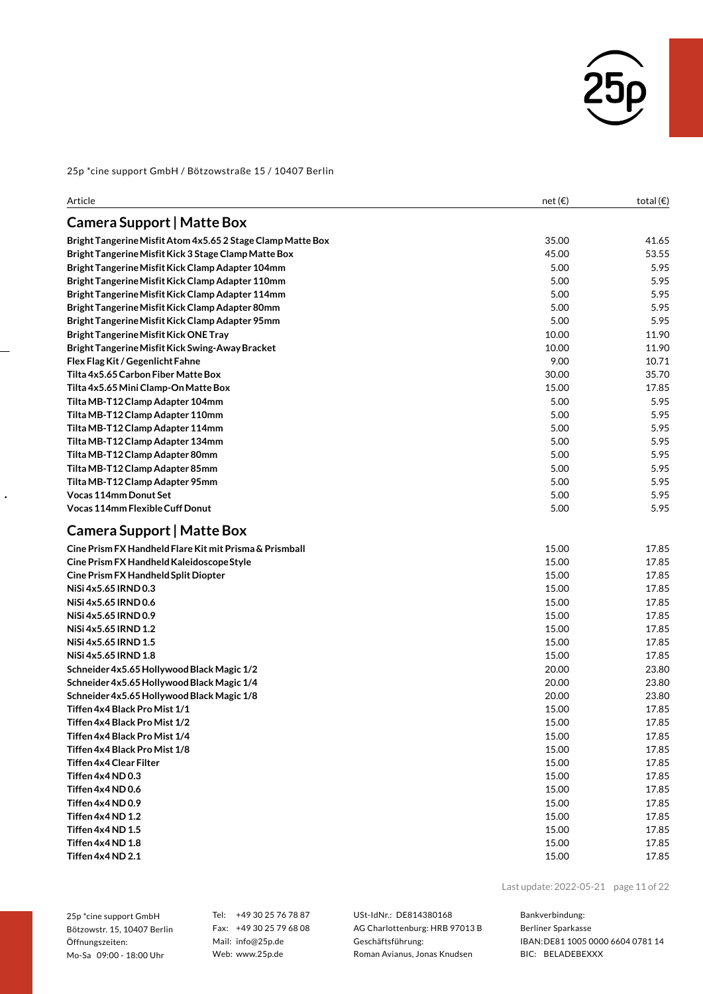

| Article                                                     | net(E) | total $(\epsilon)$ |
|-------------------------------------------------------------|--------|--------------------|
| <b>Camera Support   Matte Box</b>                           |        |                    |
| Bright Tangerine Misfit Atom 4x5.65 2 Stage Clamp Matte Box | 35.00  | 41.65              |
| Bright Tangerine Misfit Kick 3 Stage Clamp Matte Box        | 45.00  | 53.55              |
| Bright Tangerine Misfit Kick Clamp Adapter 104mm            | 5.00   | 5.95               |
| Bright Tangerine Misfit Kick Clamp Adapter 110mm            | 5.00   | 5.95               |
| Bright Tangerine Misfit Kick Clamp Adapter 114mm            | 5.00   | 5.95               |
| Bright Tangerine Misfit Kick Clamp Adapter 80mm             | 5.00   | 5.95               |
| Bright Tangerine Misfit Kick Clamp Adapter 95mm             | 5.00   | 5.95               |
| <b>Bright Tangerine Misfit Kick ONE Tray</b>                | 10.00  | 11.90              |
| Bright Tangerine Misfit Kick Swing-Away Bracket             | 10.00  | 11.90              |
| Flex Flag Kit / Gegenlicht Fahne                            | 9.00   | 10.71              |
| Tilta 4x5.65 Carbon Fiber Matte Box                         | 30.00  | 35.70              |
| Tilta 4x5.65 Mini Clamp-On Matte Box                        | 15.00  | 17.85              |
| Tilta MB-T12 Clamp Adapter 104mm                            | 5.00   | 5.95               |
| Tilta MB-T12 Clamp Adapter 110mm                            | 5.00   | 5.95               |
| Tilta MB-T12 Clamp Adapter 114mm                            | 5.00   | 5.95               |
| Tilta MB-T12 Clamp Adapter 134mm                            | 5.00   | 5.95               |
| Tilta MB-T12 Clamp Adapter 80mm                             | 5.00   | 5.95               |
| Tilta MB-T12 Clamp Adapter 85mm                             | 5.00   | 5.95               |
| Tilta MB-T12 Clamp Adapter 95mm                             | 5.00   | 5.95               |
| <b>Vocas 114mm Donut Set</b>                                | 5.00   | 5.95               |
| Vocas 114mm Flexible Cuff Donut                             | 5.00   | 5.95               |
| Camera Support   Matte Box                                  |        |                    |
| Cine Prism FX Handheld Flare Kit mit Prisma & Prismball     | 15.00  | 17.85              |
| Cine Prism FX Handheld Kaleidoscope Style                   | 15.00  | 17.85              |
| Cine Prism FX Handheld Split Diopter                        | 15.00  | 17.85              |
| NiSi 4x5.65 IRND 0.3                                        | 15.00  | 17.85              |
| NiSi 4x5.65 IRND 0.6                                        | 15.00  | 17.85              |
| NiSi 4x5.65 IRND 0.9                                        | 15.00  | 17.85              |
| NiSi 4x5.65 IRND 1.2                                        | 15.00  | 17.85              |
| NiSi 4x5.65 IRND 1.5                                        | 15.00  | 17.85              |
| NiSi 4x5.65 IRND 1.8                                        | 15.00  | 17.85              |
| Schneider 4x5.65 Hollywood Black Magic 1/2                  | 20.00  | 23.80              |
| Schneider 4x5.65 Hollywood Black Magic 1/4                  | 20.00  | 23.80              |
| Schneider 4x5.65 Hollywood Black Magic 1/8                  | 20.00  | 23.80              |
| Tiffen 4x4 Black Pro Mist 1/1                               | 15.00  | 17.85              |
| Tiffen 4x4 Black Pro Mist 1/2                               | 15.00  | 17.85              |
| Tiffen 4x4 Black Pro Mist 1/4                               | 15.00  | 17.85              |
| Tiffen 4x4 Black Pro Mist 1/8                               | 15.00  | 17.85              |
| Tiffen 4x4 Clear Filter                                     | 15.00  | 17.85              |
| Tiffen 4x4 ND 0.3                                           | 15.00  | 17.85              |
| Tiffen 4x4 ND 0.6                                           | 15.00  | 17.85              |
| Tiffen 4x4 ND 0.9                                           | 15.00  | 17.85              |
| Tiffen 4x4 ND 1.2                                           | 15.00  | 17.85              |
| Tiffen 4x4 ND 1.5                                           | 15.00  | 17.85              |
| Tiffen 4x4 ND 1.8                                           | 15.00  | 17.85              |
| Tiffen 4x4 ND 2.1                                           | 15.00  | 17.85              |

25p \*cine support GmbH Bötzowstr. 15, 10407 Berlin Öffnungszeiten: Mo-Sa 09:00 - 18:00 Uhr

 $\ddot{\phantom{0}}$ 

Tel: +49 30 25 76 78 87 Fax: +49 30 25 79 68 08 Mail: info@25p.de Web: www.25p.de

USt-IdNr.: DE814380168 AG Charlottenburg: HRB 97013 B Geschäftsführung: Roman Avianus, Jonas Knudsen

Last update:2022-05-21 page 11 of 22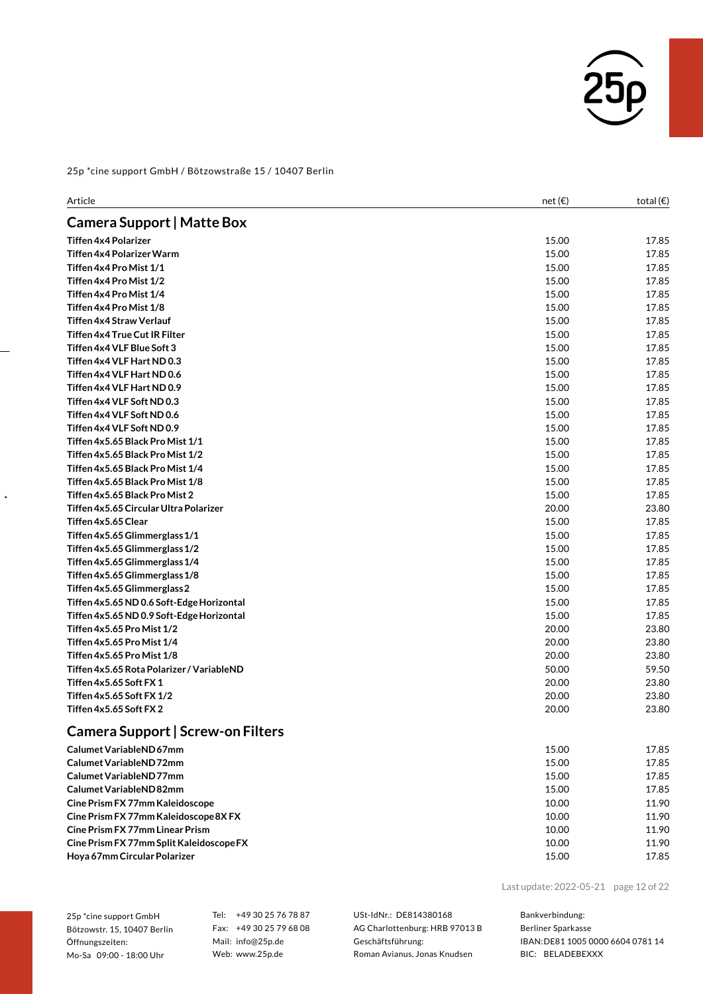

| Article                                   | net $(\epsilon)$ | total $(\epsilon)$ |
|-------------------------------------------|------------------|--------------------|
| <b>Camera Support   Matte Box</b>         |                  |                    |
| <b>Tiffen 4x4 Polarizer</b>               | 15.00            | 17.85              |
| Tiffen 4x4 Polarizer Warm                 | 15.00            | 17.85              |
| Tiffen 4x4 Pro Mist 1/1                   | 15.00            | 17.85              |
| Tiffen 4x4 Pro Mist 1/2                   | 15.00            | 17.85              |
| Tiffen 4x4 Pro Mist 1/4                   | 15.00            | 17.85              |
| Tiffen 4x4 Pro Mist 1/8                   | 15.00            | 17.85              |
| <b>Tiffen 4x4 Straw Verlauf</b>           | 15.00            | 17.85              |
| <b>Tiffen 4x4 True Cut IR Filter</b>      | 15.00            | 17.85              |
| Tiffen 4x4 VLF Blue Soft 3                | 15.00            | 17.85              |
| Tiffen 4x4 VLF Hart ND 0.3                | 15.00            | 17.85              |
| Tiffen 4x4 VLF Hart ND 0.6                | 15.00            | 17.85              |
| Tiffen 4x4 VLF Hart ND 0.9                | 15.00            | 17.85              |
| Tiffen 4x4 VLF Soft ND 0.3                | 15.00            | 17.85              |
| Tiffen 4x4 VLF Soft ND 0.6                | 15.00            | 17.85              |
| Tiffen 4x4 VLF Soft ND 0.9                | 15.00            | 17.85              |
| Tiffen 4x5.65 Black Pro Mist 1/1          | 15.00            | 17.85              |
| Tiffen 4x5.65 Black Pro Mist 1/2          | 15.00            | 17.85              |
| Tiffen 4x5.65 Black Pro Mist 1/4          | 15.00            | 17.85              |
| Tiffen 4x5.65 Black Pro Mist 1/8          | 15.00            | 17.85              |
| Tiffen 4x5.65 Black Pro Mist 2            | 15.00            | 17.85              |
| Tiffen 4x5.65 Circular Ultra Polarizer    | 20.00            | 23.80              |
| Tiffen 4x5.65 Clear                       | 15.00            | 17.85              |
| Tiffen 4x5.65 Glimmerglass 1/1            | 15.00            | 17.85              |
| Tiffen 4x5.65 Glimmerglass 1/2            | 15.00            | 17.85              |
| Tiffen 4x5.65 Glimmerglass 1/4            | 15.00            | 17.85              |
| Tiffen 4x5.65 Glimmerglass 1/8            | 15.00            | 17.85              |
| Tiffen 4x5.65 Glimmerglass 2              | 15.00            | 17.85              |
| Tiffen 4x5.65 ND 0.6 Soft-Edge Horizontal | 15.00            | 17.85              |
| Tiffen 4x5.65 ND 0.9 Soft-Edge Horizontal | 15.00            | 17.85              |
| Tiffen 4x5.65 Pro Mist 1/2                | 20.00            | 23.80              |
| Tiffen 4x5.65 Pro Mist 1/4                | 20.00            | 23.80              |
| Tiffen 4x5.65 Pro Mist 1/8                | 20.00            | 23.80              |
| Tiffen 4x5.65 Rota Polarizer / VariableND | 50.00            | 59.50              |
| Tiffen 4x5.65 Soft FX 1                   | 20.00            | 23.80              |
| Tiffen 4x5.65 Soft FX 1/2                 | 20.00            | 23.80              |
| Tiffen 4x5.65 Soft FX 2                   | 20.00            | 23.80              |
| Camera Support   Screw-on Filters         |                  |                    |
| Calumet VariableND 67mm                   | 15.00            | 17.85              |
| Calumet VariableND72mm                    | 15.00            | 17.85              |
| Calumet VariableND77mm                    | 1500             | 1785               |

| 15.00 | 17.85 |
|-------|-------|
| 15.00 | 17.85 |
| 15.00 | 17.85 |
| 10.00 | 11.90 |
| 10.00 | 11.90 |
| 10.00 | 11.90 |
| 10.00 | 11.90 |
| 15.00 | 17.85 |
|       |       |

Last update:2022-05-21 page 12 of 22

25p \*cine support GmbH Bötzowstr. 15, 10407 Berlin Öffnungszeiten: Mo-Sa 09:00 - 18:00 Uhr

 $\ddot{\phantom{0}}$ 

Tel: +49 30 25 76 78 87 Fax: +49 30 25 79 68 08 Mail: info@25p.de Web: www.25p.de

USt-IdNr.: DE814380168 AG Charlottenburg: HRB 97013 B Geschäftsführung: Roman Avianus, Jonas Knudsen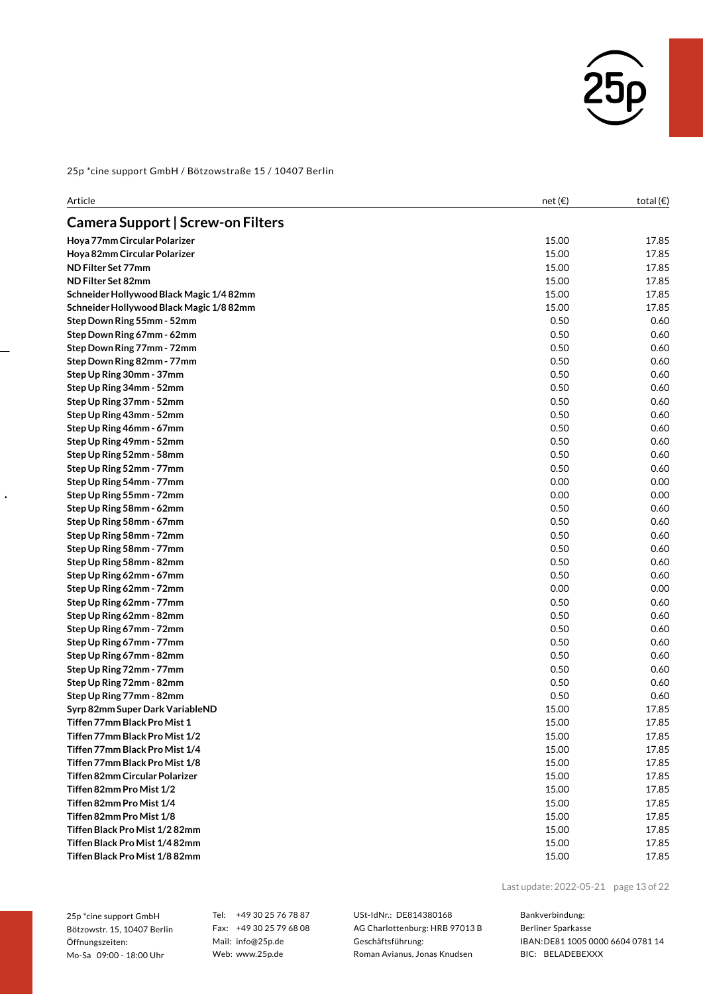

| Article                                 | net $(\epsilon)$ | total $(\epsilon)$ |
|-----------------------------------------|------------------|--------------------|
| Camera Support   Screw-on Filters       |                  |                    |
| Hoya 77mm Circular Polarizer            | 15.00            | 17.85              |
| Hoya 82mm Circular Polarizer            | 15.00            | 17.85              |
| ND Filter Set 77mm                      | 15.00            | 17.85              |
| ND Filter Set 82mm                      | 15.00            | 17.85              |
| Schneider Hollywood Black Magic 1/482mm | 15.00            | 17.85              |
| Schneider Hollywood Black Magic 1/882mm | 15.00            | 17.85              |
| Step Down Ring 55mm - 52mm              | 0.50             | 0.60               |
| Step Down Ring 67mm - 62mm              | 0.50             | 0.60               |
| Step Down Ring 77mm - 72mm              | 0.50             | 0.60               |
| Step Down Ring 82mm - 77mm              | 0.50             | 0.60               |
| Step Up Ring 30mm - 37mm                | 0.50             | 0.60               |
| Step Up Ring 34mm - 52mm                | 0.50             | 0.60               |
| Step Up Ring 37mm - 52mm                | 0.50             | 0.60               |
| Step Up Ring 43mm - 52mm                | 0.50             | 0.60               |
| Step Up Ring 46mm - 67mm                | 0.50             | 0.60               |
| Step Up Ring 49mm - 52mm                | 0.50             | 0.60               |
| Step Up Ring 52mm - 58mm                | 0.50             | 0.60               |
| Step Up Ring 52mm - 77mm                | 0.50             | 0.60               |
| Step Up Ring 54mm - 77mm                | 0.00             | 0.00               |
| Step Up Ring 55mm - 72mm                | 0.00             | 0.00               |
| Step Up Ring 58mm - 62mm                | 0.50             | 0.60               |
| Step Up Ring 58mm - 67mm                | 0.50             | 0.60               |
| Step Up Ring 58mm - 72mm                | 0.50             | 0.60               |
| Step Up Ring 58mm - 77mm                | 0.50             | 0.60               |
| Step Up Ring 58mm - 82mm                | 0.50             | 0.60               |
| Step Up Ring 62mm - 67mm                | 0.50             | 0.60               |
| Step Up Ring 62mm - 72mm                | 0.00             | 0.00               |
| Step Up Ring 62mm - 77mm                | 0.50             | 0.60               |
| Step Up Ring 62mm - 82mm                | 0.50             | 0.60               |
| Step Up Ring 67mm - 72mm                | 0.50             | 0.60               |
| Step Up Ring 67mm - 77mm                | 0.50             | 0.60               |
| Step Up Ring 67mm - 82mm                | 0.50             | 0.60               |
| Step Up Ring 72mm - 77mm                | 0.50             | 0.60               |
| Step Up Ring 72mm - 82mm                | 0.50             | 0.60               |
| Step Up Ring 77mm - 82mm                | 0.50             | 0.60               |
| Syrp 82mm Super Dark VariableND         | 15.00            | 17.85              |
| Tiffen 77mm Black Pro Mist 1            | 15.00            | 17.85              |
| Tiffen 77mm Black Pro Mist 1/2          | 15.00            | 17.85              |
| Tiffen 77mm Black Pro Mist 1/4          | 15.00            | 17.85              |
| Tiffen 77mm Black Pro Mist 1/8          | 15.00            | 17.85              |
| Tiffen 82mm Circular Polarizer          | 15.00            | 17.85              |
| Tiffen 82mm Pro Mist 1/2                | 15.00            | 17.85              |
| Tiffen 82mm Pro Mist 1/4                | 15.00            | 17.85              |
| Tiffen 82mm Pro Mist 1/8                | 15.00            | 17.85              |
| Tiffen Black Pro Mist 1/282mm           | 15.00            | 17.85              |
| Tiffen Black Pro Mist 1/482mm           | 15.00            | 17.85              |
| Tiffen Black Pro Mist 1/8 82mm          | 15.00            | 17.85              |

25p \*cine support GmbH Bötzowstr. 15, 10407 Berlin Öffnungszeiten: Mo-Sa 09:00 - 18:00 Uhr

 $\ddot{\phantom{0}}$ 

Tel: +49 30 25 76 78 87 Fax: +49 30 25 79 68 08 Mail: info@25p.de Web: www.25p.de

USt-IdNr.: DE814380168 AG Charlottenburg: HRB 97013 B Geschäftsführung: Roman Avianus, Jonas Knudsen

Last update:2022-05-21 page 13 of 22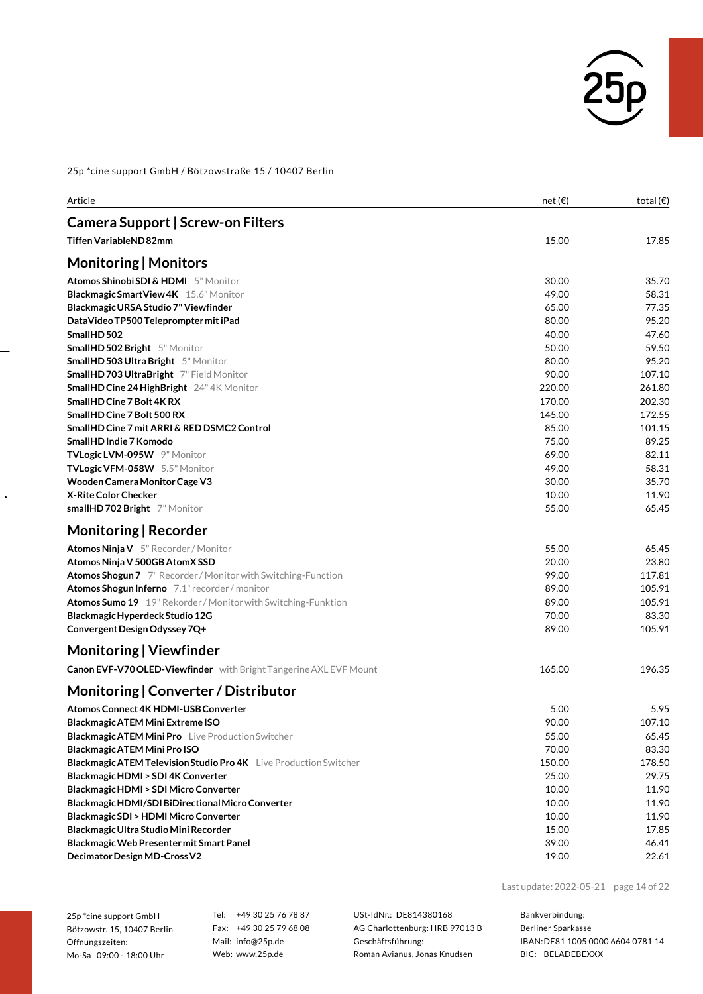

| Article                                                              | net(E) | total $(\epsilon)$ |
|----------------------------------------------------------------------|--------|--------------------|
| Camera Support   Screw-on Filters                                    |        |                    |
| <b>Tiffen VariableND82mm</b>                                         | 15.00  | 17.85              |
| Monitoring   Monitors                                                |        |                    |
| <b>Atomos Shinobi SDI &amp; HDMI</b> 5" Monitor                      | 30.00  | 35.70              |
| Blackmagic Smart View 4K 15.6" Monitor                               | 49.00  | 58.31              |
| Blackmagic URSA Studio 7" Viewfinder                                 | 65.00  | 77.35              |
| DataVideo TP500 Teleprompter mit iPad                                | 80.00  | 95.20              |
| SmallHD 502                                                          | 40.00  | 47.60              |
| <b>SmallHD 502 Bright</b> 5" Monitor                                 | 50.00  | 59.50              |
| <b>SmallHD 503 Ultra Bright</b> 5" Monitor                           | 80.00  | 95.20              |
| <b>SmallHD 703 UltraBright</b> 7" Field Monitor                      | 90.00  | 107.10             |
| <b>SmallHD Cine 24 HighBright</b> 24"4K Monitor                      | 220.00 | 261.80             |
| SmallHD Cine 7 Bolt 4K RX                                            | 170.00 | 202.30             |
| SmallHD Cine 7 Bolt 500 RX                                           | 145.00 | 172.55             |
| SmallHD Cine 7 mit ARRI & RED DSMC2 Control                          | 85.00  | 101.15             |
| SmallHD Indie 7 Komodo                                               | 75.00  | 89.25              |
| TVLogic LVM-095W 9" Monitor                                          | 69.00  | 82.11              |
| TVLogic VFM-058W 5.5" Monitor                                        | 49.00  | 58.31              |
| Wooden Camera Monitor Cage V3                                        | 30.00  | 35.70              |
| X-Rite Color Checker                                                 | 10.00  | 11.90              |
| smallHD 702 Bright 7" Monitor                                        | 55.00  | 65.45              |
| Monitoring   Recorder                                                |        |                    |
| Atomos Ninja V 5" Recorder / Monitor                                 | 55.00  | 65.45              |
| Atomos Ninja V 500GB AtomX SSD                                       | 20.00  | 23.80              |
| Atomos Shogun 7 7" Recorder / Monitor with Switching-Function        | 99.00  | 117.81             |
| Atomos Shogun Inferno 7.1" recorder / monitor                        | 89.00  | 105.91             |
| <b>Atomos Sumo 19</b> 19" Rekorder / Monitor with Switching-Funktion | 89.00  | 105.91             |
| Blackmagic Hyperdeck Studio 12G                                      | 70.00  | 83.30              |
| Convergent Design Odyssey 7Q+                                        | 89.00  | 105.91             |
| Monitoring   Viewfinder                                              |        |                    |
| Canon EVF-V70 OLED-Viewfinder with Bright Tangerine AXL EVF Mount    | 165.00 | 196.35             |
| Monitoring   Converter / Distributor                                 |        |                    |
| <b>Atomos Connect 4K HDMI-USB Converter</b>                          | 5.00   | 5.95               |
| Blackmagic ATEM Mini Extreme ISO                                     | 90.00  | 107.10             |
| <b>Blackmagic ATEM Mini Pro</b> Live Production Switcher             | 55.00  | 65.45              |
| Blackmagic ATEM Mini Pro ISO                                         | 70.00  | 83.30              |
| Blackmagic ATEM Television Studio Pro 4K Live Production Switcher    | 150.00 | 178.50             |
| Blackmagic HDMI > SDI 4K Converter                                   | 25.00  | 29.75              |
| Blackmagic HDMI > SDI Micro Converter                                | 10.00  | 11.90              |
| Blackmagic HDMI/SDI BiDirectional Micro Converter                    | 10.00  | 11.90              |
| Blackmagic SDI > HDMI Micro Converter                                | 10.00  | 11.90              |
| Blackmagic Ultra Studio Mini Recorder                                | 15.00  | 17.85              |
| Blackmagic Web Presenter mit Smart Panel                             | 39.00  | 46.41              |
| Decimator Design MD-Cross V2                                         | 19.00  | 22.61              |

Last update:2022-05-21 page 14 of 22

| 25p *cine support GmbH |                             |  |
|------------------------|-----------------------------|--|
|                        | Bötzowstr. 15. 10407 Berlin |  |
| Öffnungszeiten:        |                             |  |
|                        | Mo-Sa 09:00 - 18:00 Uhr     |  |

 $\ddot{\phantom{0}}$ 

Tel: +49 30 25 76 78 87 Fax: +49 30 25 79 68 08 Mail: info@25p.de Web: www.25p.de

USt-IdNr.: DE814380168 AG Charlottenburg: HRB 97013 B Geschäftsführung: Roman Avianus, Jonas Knudsen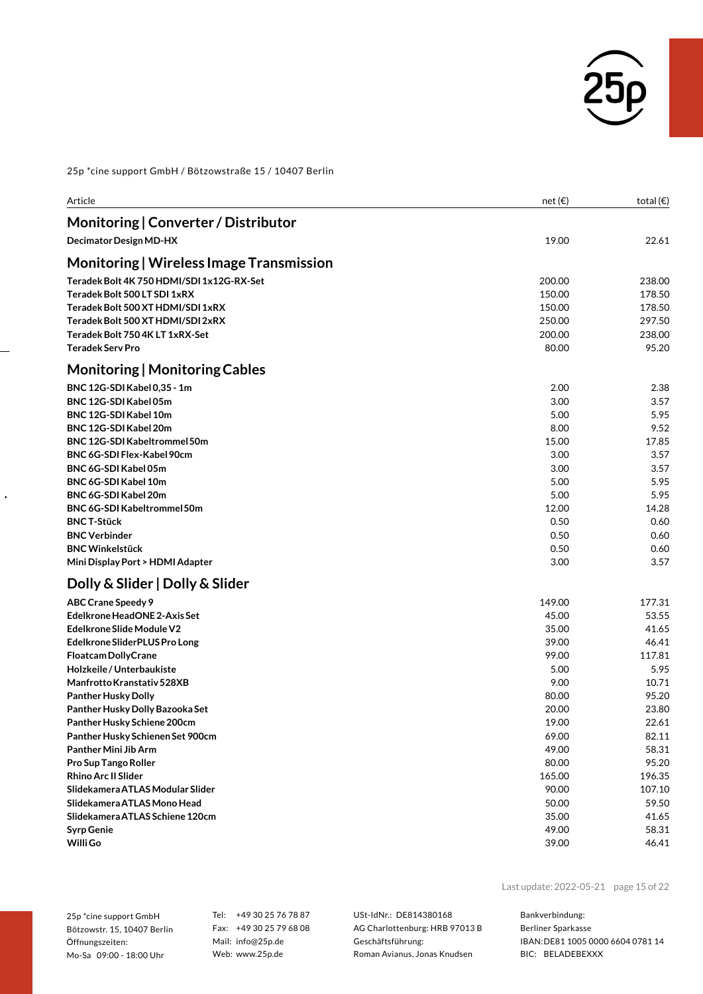

| Article                                                              | net(E)           | total $(\epsilon)$ |
|----------------------------------------------------------------------|------------------|--------------------|
| Monitoring   Converter / Distributor                                 |                  |                    |
| Decimator Design MD-HX                                               | 19.00            | 22.61              |
|                                                                      |                  |                    |
| Monitoring   Wireless Image Transmission                             |                  |                    |
| Teradek Bolt 4K 750 HDMI/SDI 1x12G-RX-Set                            | 200.00           | 238.00             |
| Teradek Bolt 500 LT SDI 1xRX                                         | 150.00           | 178.50             |
| Teradek Bolt 500 XT HDMI/SDI 1xRX                                    | 150.00           | 178.50<br>297.50   |
| Teradek Bolt 500 XT HDMI/SDI 2xRX<br>Teradek Bolt 750 4K LT 1xRX-Set | 250.00<br>200.00 | 238.00             |
| <b>Teradek Serv Pro</b>                                              | 80.00            | 95.20              |
|                                                                      |                  |                    |
| <b>Monitoring   Monitoring Cables</b>                                |                  |                    |
| BNC 12G-SDI Kabel 0,35 - 1m                                          | 2.00             | 2.38               |
| BNC 12G-SDI Kabel 05m                                                | 3.00             | 3.57               |
| BNC 12G-SDI Kabel 10m                                                | 5.00             | 5.95               |
| BNC 12G-SDI Kabel 20m                                                | 8.00             | 9.52               |
| BNC 12G-SDI Kabeltrommel 50m                                         | 15.00            | 17.85              |
| BNC 6G-SDI Flex-Kabel 90cm                                           | 3.00             | 3.57               |
| BNC 6G-SDI Kabel 05m                                                 | 3.00             | 3.57               |
| <b>BNC 6G-SDI Kabel 10m</b><br>BNC 6G-SDI Kabel 20m                  | 5.00             | 5.95               |
| BNC 6G-SDI Kabeltrommel 50m                                          | 5.00<br>12.00    | 5.95<br>14.28      |
| <b>BNC T-Stück</b>                                                   | 0.50             | 0.60               |
| <b>BNC Verbinder</b>                                                 | 0.50             | 0.60               |
| <b>BNC Winkelstück</b>                                               | 0.50             | 0.60               |
| Mini Display Port > HDMI Adapter                                     | 3.00             | 3.57               |
| Dolly & Slider   Dolly & Slider                                      |                  |                    |
| <b>ABC Crane Speedy 9</b>                                            | 149.00           | 177.31             |
| Edelkrone HeadONE 2-Axis Set                                         | 45.00            | 53.55              |
| Edelkrone Slide Module V2                                            | 35.00            | 41.65              |
| Edelkrone SliderPLUS Pro Long                                        | 39.00            | 46.41              |
| <b>Floatcam DollyCrane</b>                                           | 99.00            | 117.81             |
| Holzkeile / Unterbaukiste                                            | 5.00             | 5.95               |
| Manfrotto Kranstativ 528XB                                           | 9.00             | 10.71              |
| <b>Panther Husky Dolly</b>                                           | 80.00            | 95.20              |
| Panther Husky Dolly Bazooka Set                                      | 20.00            | 23.80              |
| Panther Husky Schiene 200cm                                          | 19.00            | 22.61              |
| Panther Husky Schienen Set 900cm                                     | 69.00            | 82.11              |
| Panther Mini Jib Arm                                                 | 49.00            | 58.31              |
| Pro Sup Tango Roller                                                 | 80.00            | 95.20              |
| <b>Rhino Arc II Slider</b>                                           | 165.00           | 196.35             |
| Slidekamera ATLAS Modular Slider                                     | 90.00            | 107.10             |
| Slidekamera ATLAS Mono Head                                          | 50.00            | 59.50              |
| Slidekamera ATLAS Schiene 120cm                                      | 35.00            | 41.65              |
| <b>Syrp Genie</b><br>Willi Go                                        | 49.00            | 58.31              |
|                                                                      | 39.00            | 46.41              |

25p \*cine support GmbH Bötzowstr. 15, 10407 Berlin Öffnungszeiten: Mo-Sa 09:00 - 18:00 Uhr

 $\ddot{\phantom{0}}$ 

Tel: +49 30 25 76 78 87 Fax: +49 30 25 79 68 08 Mail: info@25p.de Web: www.25p.de

USt-IdNr.: DE814380168 AG Charlottenburg: HRB 97013 B Geschäftsführung: Roman Avianus, Jonas Knudsen

Last update:2022-05-21 page 15 of 22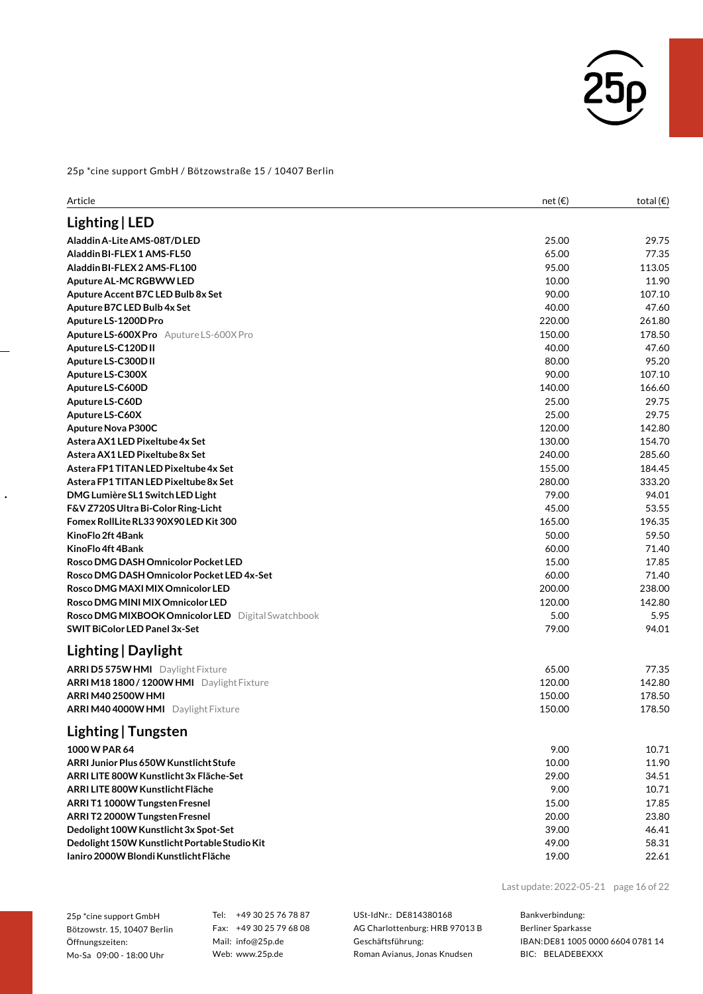

| Article                                                   | net $(\epsilon)$ | total $(\epsilon)$ |
|-----------------------------------------------------------|------------------|--------------------|
| Lighting   LED                                            |                  |                    |
| Aladdin A-Lite AMS-08T/D LED                              | 25.00            | 29.75              |
| Aladdin BI-FLEX 1 AMS-FL50                                | 65.00            | 77.35              |
| Aladdin BI-FLEX 2 AMS-FL100                               | 95.00            | 113.05             |
| Aputure AL-MC RGBWW LED                                   | 10.00            | 11.90              |
| Aputure Accent B7C LED Bulb 8x Set                        | 90.00            | 107.10             |
| Aputure B7C LED Bulb 4x Set                               | 40.00            | 47.60              |
| Aputure LS-1200D Pro                                      | 220.00           | 261.80             |
| Aputure LS-600X Pro Aputure LS-600X Pro                   | 150.00           | 178.50             |
| Aputure LS-C120D II                                       | 40.00            | 47.60              |
| Aputure LS-C300D II                                       | 80.00            | 95.20              |
| Aputure LS-C300X                                          | 90.00            | 107.10             |
| Aputure LS-C600D                                          | 140.00           | 166.60             |
| Aputure LS-C60D                                           | 25.00            | 29.75              |
| Aputure LS-C60X                                           | 25.00            | 29.75              |
| Aputure Nova P300C                                        | 120.00           | 142.80             |
| Astera AX1 LED Pixeltube 4x Set                           | 130.00           | 154.70             |
| Astera AX1LED Pixeltube 8x Set                            | 240.00           | 285.60             |
| Astera FP1 TITAN LED Pixeltube 4x Set                     | 155.00           | 184.45             |
| Astera FP1 TITAN LED Pixeltube 8x Set                     | 280.00           | 333.20             |
| DMG Lumière SL1 Switch LED Light                          | 79.00            | 94.01              |
| F&V Z720S Ultra Bi-Color Ring-Licht                       | 45.00            | 53.55              |
| Fomex RollLite RL33 90X90 LED Kit 300                     | 165.00           | 196.35             |
| KinoFlo 2ft 4Bank                                         | 50.00            | 59.50              |
| KinoFlo 4ft 4Bank                                         | 60.00            | 71.40              |
| Rosco DMG DASH Omnicolor Pocket LED                       | 15.00            | 17.85              |
| Rosco DMG DASH Omnicolor Pocket LED 4x-Set                | 60.00            | 71.40              |
| Rosco DMG MAXI MIX Omnicolor LED                          | 200.00           | 238.00             |
| Rosco DMG MINI MIX Omnicolor LED                          | 120.00           | 142.80             |
| <b>Rosco DMG MIXBOOK Omnicolor LED</b> Digital Swatchbook | 5.00             | 5.95               |
| <b>SWIT BiColor LED Panel 3x-Set</b>                      | 79.00            | 94.01              |
| Lighting   Daylight                                       |                  |                    |
| <b>ARRI D5 575W HMI</b> Daylight Fixture                  | 65.00            | 77.35              |
| ARRIM18 1800 / 1200W HMI Daylight Fixture                 | 120.00           | 142.80             |
| ARRI M40 2500W HMI                                        | 150.00           | 178.50             |
| ARRI M40 4000W HMI Daylight Fixture                       | 150.00           | 178.50             |
| Lighting   Tungsten                                       |                  |                    |
| 1000 W PAR 64                                             | 9.00             | 10.71              |
| ARRI Junior Plus 650W Kunstlicht Stufe                    | 10.00            | 11.90              |
| ARRI LITE 800W Kunstlicht 3x Fläche-Set                   | 29.00            | 34.51              |
| ARRI LITE 800W Kunstlicht Fläche                          | 9.00             | 10.71              |
| ARRIT1 1000W Tungsten Fresnel                             | 15.00            | 17.85              |
| ARRIT2 2000W Tungsten Fresnel                             | 20.00            | 23.80              |
| Dedolight 100W Kunstlicht 3x Spot-Set                     | 39.00            | 46.41              |
| Dedolight 150W Kunstlicht Portable Studio Kit             | 49.00            | 58.31              |
| Ianiro 2000W Blondi Kunstlicht Fläche                     | 19.00            | 22.61              |
|                                                           |                  |                    |

Last update:2022-05-21 page 16 of 22

25p \*cine support GmbH Bötzowstr. 15, 10407 Berlin Öffnungszeiten: Mo-Sa 09:00 - 18:00 Uhr

 $\ddot{\phantom{0}}$ 

Tel: +49 30 25 76 78 87 Fax: +49 30 25 79 68 08 Mail: info@25p.de Web: www.25p.de

USt-IdNr.: DE814380168 AG Charlottenburg: HRB 97013 B Geschäftsführung: Roman Avianus, Jonas Knudsen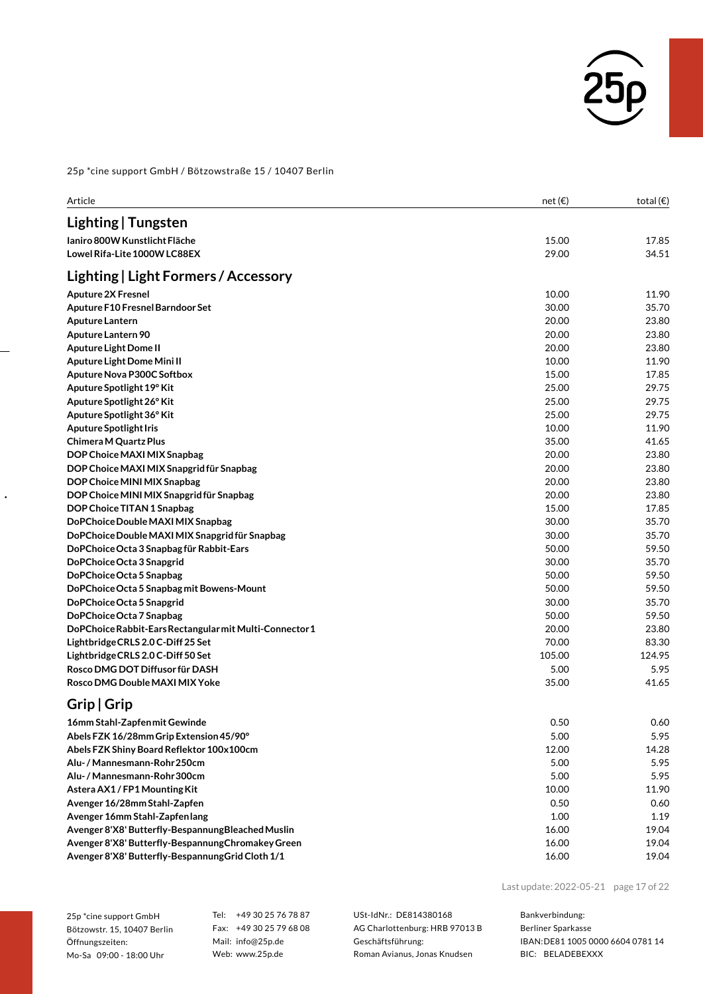

| Article                                                                                    | net(E)         | total $(\epsilon)$ |
|--------------------------------------------------------------------------------------------|----------------|--------------------|
| Lighting   Tungsten                                                                        |                |                    |
| Ianiro 800W Kunstlicht Fläche                                                              | 15.00          | 17.85              |
| Lowel Rifa-Lite 1000W LC88EX                                                               | 29.00          | 34.51              |
|                                                                                            |                |                    |
| Lighting   Light Formers / Accessory                                                       |                |                    |
| <b>Aputure 2X Fresnel</b>                                                                  | 10.00          | 11.90              |
| Aputure F10 Fresnel Barndoor Set                                                           | 30.00          | 35.70              |
| <b>Aputure Lantern</b>                                                                     | 20.00          | 23.80              |
| Aputure Lantern 90                                                                         | 20.00          | 23.80              |
| <b>Aputure Light Dome II</b>                                                               | 20.00          | 23.80              |
| Aputure Light Dome Mini II                                                                 | 10.00          | 11.90              |
| Aputure Nova P300C Softbox                                                                 | 15.00          | 17.85              |
| Aputure Spotlight 19° Kit                                                                  | 25.00          | 29.75              |
| Aputure Spotlight 26° Kit                                                                  | 25.00          | 29.75              |
| Aputure Spotlight 36° Kit                                                                  | 25.00          | 29.75              |
| <b>Aputure Spotlight Iris</b>                                                              | 10.00          | 11.90              |
| Chimera M Quartz Plus                                                                      | 35.00          | 41.65              |
| DOP Choice MAXI MIX Snapbag                                                                | 20.00          | 23.80              |
| DOP Choice MAXI MIX Snapgrid für Snapbag                                                   | 20.00          | 23.80              |
| DOP Choice MINI MIX Snapbag                                                                | 20.00          | 23.80              |
| DOP Choice MINI MIX Snapgrid für Snapbag                                                   | 20.00          | 23.80              |
| DOP Choice TITAN 1 Snapbag                                                                 | 15.00          | 17.85              |
| DoPChoice Double MAXI MIX Snapbag                                                          | 30.00          | 35.70              |
| DoPChoice Double MAXI MIX Snapgrid für Snapbag<br>DoPChoice Octa 3 Snapbag für Rabbit-Ears | 30.00<br>50.00 | 35.70<br>59.50     |
| DoPChoice Octa 3 Snapgrid                                                                  | 30.00          | 35.70              |
| DoPChoice Octa 5 Snapbag                                                                   | 50.00          | 59.50              |
| DoPChoice Octa 5 Snapbag mit Bowens-Mount                                                  | 50.00          | 59.50              |
| DoPChoice Octa 5 Snapgrid                                                                  | 30.00          | 35.70              |
| DoPChoice Octa 7 Snapbag                                                                   | 50.00          | 59.50              |
| DoPChoice Rabbit-Ears Rectangular mit Multi-Connector 1                                    | 20.00          | 23.80              |
| Lightbridge CRLS 2.0 C-Diff 25 Set                                                         | 70.00          | 83.30              |
| Lightbridge CRLS 2.0 C-Diff 50 Set                                                         | 105.00         | 124.95             |
| Rosco DMG DOT Diffusor für DASH                                                            | 5.00           | 5.95               |
| Rosco DMG Double MAXI MIX Yoke                                                             | 35.00          | 41.65              |
| Grip   Grip                                                                                |                |                    |
| 16mm Stahl-Zapfen mit Gewinde                                                              | 0.50           | 0.60               |
| Abels FZK 16/28mm Grip Extension 45/90°                                                    | 5.00           | 5.95               |
| Abels FZK Shiny Board Reflektor 100x100cm                                                  | 12.00          | 14.28              |
| Alu- / Mannesmann-Rohr 250cm                                                               | 5.00           | 5.95               |
| Alu- / Mannesmann-Rohr 300cm                                                               | 5.00           | 5.95               |
| Astera AX1/FP1 Mounting Kit                                                                | 10.00          | 11.90              |
| Avenger 16/28mm Stahl-Zapfen                                                               | 0.50           | 0.60               |
| Avenger 16mm Stahl-Zapfenlang                                                              | 1.00           | 1.19               |
| Avenger 8'X8' Butterfly-Bespannung Bleached Muslin                                         | 16.00          | 19.04              |
| Avenger 8'X8' Butterfly-Bespannung Chromakey Green                                         | 16.00          | 19.04              |
|                                                                                            |                |                    |

Avenger 8'X8' Butterfly-Bespannung Grid Cloth 1/1 16.00 19.04

Last update:2022-05-21 page 17 of 22

25p \*cine support GmbH Bötzowstr. 15, 10407 Berlin Öffnungszeiten: Mo-Sa 09:00 - 18:00 Uhr

 $\ddot{\phantom{0}}$ 

Tel: +49 30 25 76 78 87 Fax: +49 30 25 79 68 08 Mail: info@25p.de Web: www.25p.de

USt-IdNr.: DE814380168 AG Charlottenburg: HRB 97013 B Geschäftsführung: Roman Avianus, Jonas Knudsen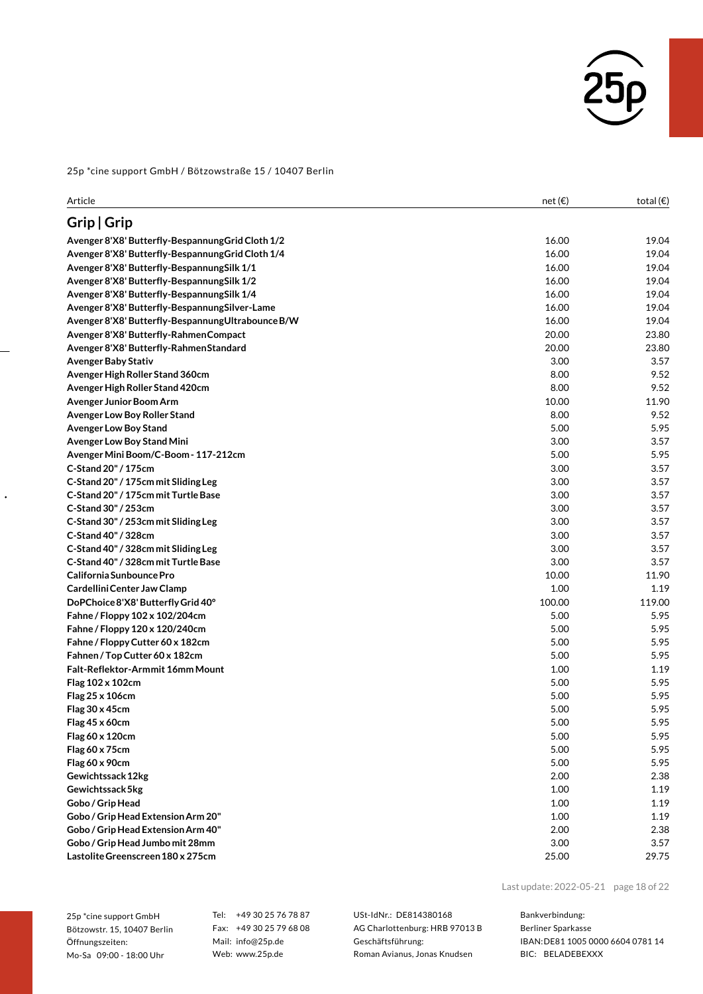

| Article                                            | net $(\epsilon)$ | total $(\epsilon)$ |
|----------------------------------------------------|------------------|--------------------|
| Grip   Grip                                        |                  |                    |
| Avenger 8'X8' Butterfly-Bespannung Grid Cloth 1/2  | 16.00            | 19.04              |
| Avenger 8'X8' Butterfly-Bespannung Grid Cloth 1/4  | 16.00            | 19.04              |
| Avenger 8'X8' Butterfly-Bespannung Silk 1/1        | 16.00            | 19.04              |
| Avenger 8'X8' Butterfly-Bespannung Silk 1/2        | 16.00            | 19.04              |
| Avenger 8'X8' Butterfly-Bespannung Silk 1/4        | 16.00            | 19.04              |
| Avenger 8'X8' Butterfly-Bespannung Silver-Lame     | 16.00            | 19.04              |
| Avenger 8'X8' Butterfly-Bespannung Ultrabounce B/W | 16.00            | 19.04              |
| Avenger 8'X8' Butterfly-Rahmen Compact             | 20.00            | 23.80              |
| Avenger 8'X8' Butterfly-Rahmen Standard            | 20.00            | 23.80              |
| <b>Avenger Baby Stativ</b>                         | 3.00             | 3.57               |
| Avenger High Roller Stand 360cm                    | 8.00             | 9.52               |
| Avenger High Roller Stand 420cm                    | 8.00             | 9.52               |
| Avenger Junior Boom Arm                            | 10.00            | 11.90              |
| Avenger Low Boy Roller Stand                       | 8.00             | 9.52               |
| <b>Avenger Low Boy Stand</b>                       | 5.00             | 5.95               |
| Avenger Low Boy Stand Mini                         | 3.00             | 3.57               |
| Avenger Mini Boom/C-Boom - 117-212cm               | 5.00             | 5.95               |
| C-Stand 20" / 175cm                                | 3.00             | 3.57               |
| C-Stand 20" / 175cm mit Sliding Leg                | 3.00             | 3.57               |
| C-Stand 20" / 175cm mit Turtle Base                | 3.00             | 3.57               |
| C-Stand 30" / 253cm                                | 3.00             | 3.57               |
| C-Stand 30" / 253cm mit Sliding Leg                | 3.00             | 3.57               |
| C-Stand 40" / 328cm                                | 3.00             | 3.57               |
| C-Stand 40" / 328cm mit Sliding Leg                | 3.00             | 3.57               |
| C-Stand 40" / 328cm mit Turtle Base                | 3.00             | 3.57               |
| California Sunbounce Pro                           | 10.00            | 11.90              |
| Cardellini Center Jaw Clamp                        | 1.00             | 1.19               |
| DoPChoice 8'X8' Butterfly Grid 40°                 | 100.00           | 119.00             |
| Fahne / Floppy 102 x 102/204cm                     | 5.00             | 5.95               |
| Fahne / Floppy 120 x 120/240cm                     | 5.00             | 5.95               |
| Fahne / Floppy Cutter 60 x 182cm                   | 5.00             | 5.95               |
| Fahnen / Top Cutter 60 x 182cm                     | 5.00             | 5.95               |
| Falt-Reflektor-Armmit 16mm Mount                   | 1.00             | 1.19               |
| Flag 102 x 102cm                                   | 5.00             | 5.95               |
| Flag 25 x 106cm                                    | 5.00             | 5.95               |
| Flag 30 x 45cm                                     | 5.00             | 5.95               |
| Flag 45 x 60cm                                     | 5.00             | 5.95               |
| Flag 60 x 120cm                                    | 5.00             | 5.95               |
| Flag 60 x 75cm                                     | 5.00             | 5.95               |
| Flag 60 x 90cm                                     | 5.00             | 5.95               |
| Gewichtssack 12kg                                  | 2.00             | 2.38               |
| Gewichtssack 5kg                                   | 1.00             | 1.19               |
| Gobo / Grip Head                                   | 1.00             | 1.19               |
| Gobo / Grip Head Extension Arm 20"                 | 1.00             | 1.19               |
| Gobo / Grip Head Extension Arm 40"                 | 2.00             | 2.38               |
| Gobo / Grip Head Jumbo mit 28mm                    | 3.00             | 3.57               |
| Lastolite Greenscreen 180 x 275cm                  | 25.00            | 29.75              |
|                                                    |                  |                    |

25p \*cine support GmbH Bötzowstr. 15, 10407 Berlin Öffnungszeiten: Mo-Sa 09:00 - 18:00 Uhr

 $\ddot{\phantom{0}}$ 

Tel: +49 30 25 76 78 87 Fax: +49 30 25 79 68 08 Mail: info@25p.de Web: www.25p.de

USt-IdNr.: DE814380168 AG Charlottenburg: HRB 97013 B Geschäftsführung: Roman Avianus, Jonas Knudsen

Last update:2022-05-21 page 18 of 22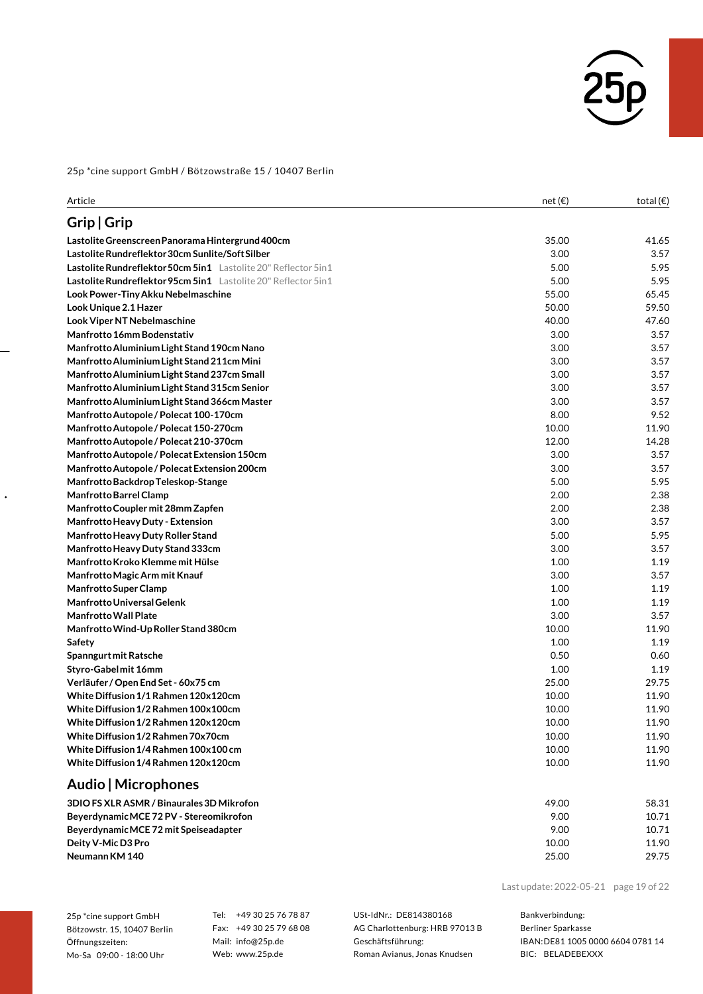

| Article                                                           | net(E) | total $(\epsilon)$ |
|-------------------------------------------------------------------|--------|--------------------|
| Grip   Grip                                                       |        |                    |
| Lastolite Greenscreen Panorama Hintergrund 400cm                  | 35.00  | 41.65              |
| Lastolite Rundreflektor 30cm Sunlite/Soft Silber                  | 3.00   | 3.57               |
| Lastolite Rundreflektor 50cm 5in1 Lastolite 20" Reflector 5in1    | 5.00   | 5.95               |
| Lastolite Rundreflektor 95cm 5in1    Lastolite 20" Reflector 5in1 | 5.00   | 5.95               |
| Look Power-Tiny Akku Nebelmaschine                                | 55.00  | 65.45              |
| Look Unique 2.1 Hazer                                             | 50.00  | 59.50              |
| Look Viper NT Nebelmaschine                                       | 40.00  | 47.60              |
| Manfrotto 16mm Bodenstativ                                        | 3.00   | 3.57               |
| Manfrotto Aluminium Light Stand 190cm Nano                        | 3.00   | 3.57               |
| Manfrotto Aluminium Light Stand 211cm Mini                        | 3.00   | 3.57               |
| Manfrotto Aluminium Light Stand 237cm Small                       | 3.00   | 3.57               |
| Manfrotto Aluminium Light Stand 315cm Senior                      | 3.00   | 3.57               |
| Manfrotto Aluminium Light Stand 366cm Master                      | 3.00   | 3.57               |
| Manfrotto Autopole / Polecat 100-170cm                            | 8.00   | 9.52               |
| Manfrotto Autopole / Polecat 150-270cm                            | 10.00  | 11.90              |
| Manfrotto Autopole / Polecat 210-370cm                            | 12.00  | 14.28              |
| Manfrotto Autopole / Polecat Extension 150cm                      | 3.00   | 3.57               |
| Manfrotto Autopole / Polecat Extension 200cm                      | 3.00   | 3.57               |
| Manfrotto Backdrop Teleskop-Stange                                | 5.00   | 5.95               |
| Manfrotto Barrel Clamp                                            | 2.00   | 2.38               |
| Manfrotto Coupler mit 28mm Zapfen                                 | 2.00   | 2.38               |
| Manfrotto Heavy Duty - Extension                                  | 3.00   | 3.57               |
| Manfrotto Heavy Duty Roller Stand                                 | 5.00   | 5.95               |
| Manfrotto Heavy Duty Stand 333cm                                  | 3.00   | 3.57               |
| Manfrotto Kroko Klemme mit Hülse                                  | 1.00   | 1.19               |
| Manfrotto Magic Arm mit Knauf                                     | 3.00   | 3.57               |
| <b>Manfrotto Super Clamp</b>                                      | 1.00   | 1.19               |
| <b>Manfrotto Universal Gelenk</b>                                 | 1.00   | 1.19               |
| <b>Manfrotto Wall Plate</b>                                       | 3.00   | 3.57               |
| Manfrotto Wind-Up Roller Stand 380cm                              | 10.00  | 11.90              |
| Safety                                                            | 1.00   | 1.19               |
| Spanngurt mit Ratsche                                             | 0.50   | 0.60               |
| Styro-Gabel mit 16mm                                              | 1.00   | 1.19               |
| Verläufer / Open End Set - 60x75 cm                               | 25.00  | 29.75              |
| White Diffusion 1/1 Rahmen 120x120cm                              | 10.00  | 11.90              |
| White Diffusion 1/2 Rahmen 100x100cm                              | 10.00  | 11.90              |
| White Diffusion 1/2 Rahmen 120x120cm                              | 10.00  | 11.90              |
| White Diffusion 1/2 Rahmen 70x70cm                                | 10.00  | 11.90              |
| White Diffusion 1/4 Rahmen 100x100 cm                             | 10.00  | 11.90              |
| White Diffusion 1/4 Rahmen 120x120cm                              | 10.00  | 11.90              |
| Audio   Microphones                                               |        |                    |
| 3DIO FS XLR ASMR / Binaurales 3D Mikrofon                         | 49.00  | 58.31              |
| BeyerdynamicMCE 72 PV - Stereomikrofon                            | 9.00   | 10.71              |
| BeyerdynamicMCE 72 mit Speiseadapter                              | 9.00   | 10.71              |
| Deity V-Mic D3 Pro                                                | 10.00  | 11.90              |
| Neumann KM 140                                                    | 25.00  | 29.75              |

25p \*cine support GmbH Bötzowstr. 15, 10407 Berlin Öffnungszeiten: Mo-Sa 09:00 - 18:00 Uhr

 $\ddot{\phantom{0}}$ 

Tel: +49 30 25 76 78 87 Fax: +49 30 25 79 68 08 Mail: info@25p.de Web: www.25p.de

USt-IdNr.: DE814380168 AG Charlottenburg: HRB 97013 B Geschäftsführung: Roman Avianus, Jonas Knudsen

Last update:2022-05-21 page 19 of 22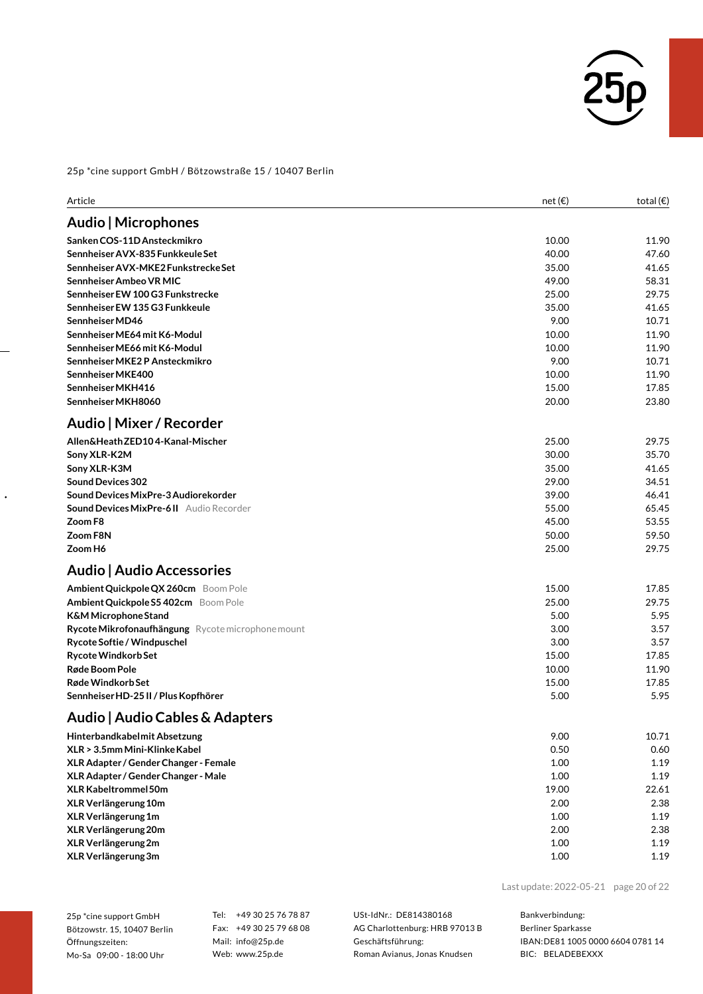

| Article                                           | net(E) | total $(\epsilon)$ |
|---------------------------------------------------|--------|--------------------|
| Audio   Microphones                               |        |                    |
| Sanken COS-11D Ansteckmikro                       | 10.00  | 11.90              |
| Sennheiser AVX-835 Funkkeule Set                  | 40.00  | 47.60              |
| Sennheiser AVX-MKE2 Funkstrecke Set               | 35.00  | 41.65              |
| Sennheiser Ambeo VR MIC                           | 49.00  | 58.31              |
| Sennheiser EW 100 G3 Funkstrecke                  | 25.00  | 29.75              |
| Sennheiser EW 135 G3 Funkkeule                    | 35.00  | 41.65              |
| Sennheiser MD46                                   | 9.00   | 10.71              |
| Sennheiser ME64 mit K6-Modul                      | 10.00  | 11.90              |
| Sennheiser ME66 mit K6-Modul                      | 10.00  | 11.90              |
| Sennheiser MKE2 P Ansteckmikro                    | 9.00   | 10.71              |
| Sennheiser MKE400                                 | 10.00  | 11.90              |
| Sennheiser MKH416                                 | 15.00  | 17.85              |
| Sennheiser MKH8060                                | 20.00  | 23.80              |
| Audio   Mixer / Recorder                          |        |                    |
| Allen&HeathZED104-Kanal-Mischer                   | 25.00  | 29.75              |
| Sony XLR-K2M                                      | 30.00  | 35.70              |
| Sony XLR-K3M                                      | 35.00  | 41.65              |
| <b>Sound Devices 302</b>                          | 29.00  | 34.51              |
| Sound Devices MixPre-3 Audiorekorder              | 39.00  | 46.41              |
| <b>Sound Devices MixPre-6 II</b> Audio Recorder   | 55.00  | 65.45              |
| Zoom F8                                           | 45.00  | 53.55              |
| Zoom F8N                                          | 50.00  | 59.50              |
| Zoom H6                                           | 25.00  | 29.75              |
| Audio   Audio Accessories                         |        |                    |
| Ambient Quickpole QX 260cm Boom Pole              | 15.00  | 17.85              |
| Ambient Quickpole S5 402cm Boom Pole              | 25.00  | 29.75              |
| <b>K&amp;M Microphone Stand</b>                   | 5.00   | 5.95               |
| Rycote Mikrofonaufhängung Rycote microphone mount | 3.00   | 3.57               |
| Rycote Softie / Windpuschel                       | 3.00   | 3.57               |
| Rycote Windkorb Set                               | 15.00  | 17.85              |
| Røde Boom Pole                                    | 10.00  | 11.90              |
| Røde Windkorb Set                                 | 15.00  | 17.85              |
| Sennheiser HD-25 II / Plus Kopfhörer              | 5.00   | 5.95               |
| Audio   Audio Cables & Adapters                   |        |                    |
| Hinterbandkabelmit Absetzung                      | 9.00   | 10.71              |
| XLR > 3.5mm Mini-Klinke Kabel                     | 0.50   | 0.60               |
| XLR Adapter / Gender Changer - Female             | 1.00   | 1.19               |
| XLR Adapter / Gender Changer - Male               | 1.00   | 1.19               |
| <b>XLR Kabeltrommel 50m</b>                       | 19.00  | 22.61              |
| XLR Verlängerung 10m                              | 2.00   | 2.38               |
| XLR Verlängerung 1m                               | 1.00   | 1.19               |
| XLR Verlängerung 20m                              | 2.00   | 2.38               |
| XLR Verlängerung 2m                               | 1.00   | 1.19               |
| XLR Verlängerung 3m                               | 1.00   | 1.19               |

25p \*cine support GmbH Bötzowstr. 15, 10407 Berlin Öffnungszeiten: Mo-Sa 09:00 - 18:00 Uhr

 $\ddot{\phantom{0}}$ 

Tel: +49 30 25 76 78 87 Fax: +49 30 25 79 68 08 Mail: info@25p.de Web: www.25p.de

USt-IdNr.: DE814380168 AG Charlottenburg: HRB 97013 B Geschäftsführung: Roman Avianus, Jonas Knudsen

Last update:2022-05-21 page 20 of 22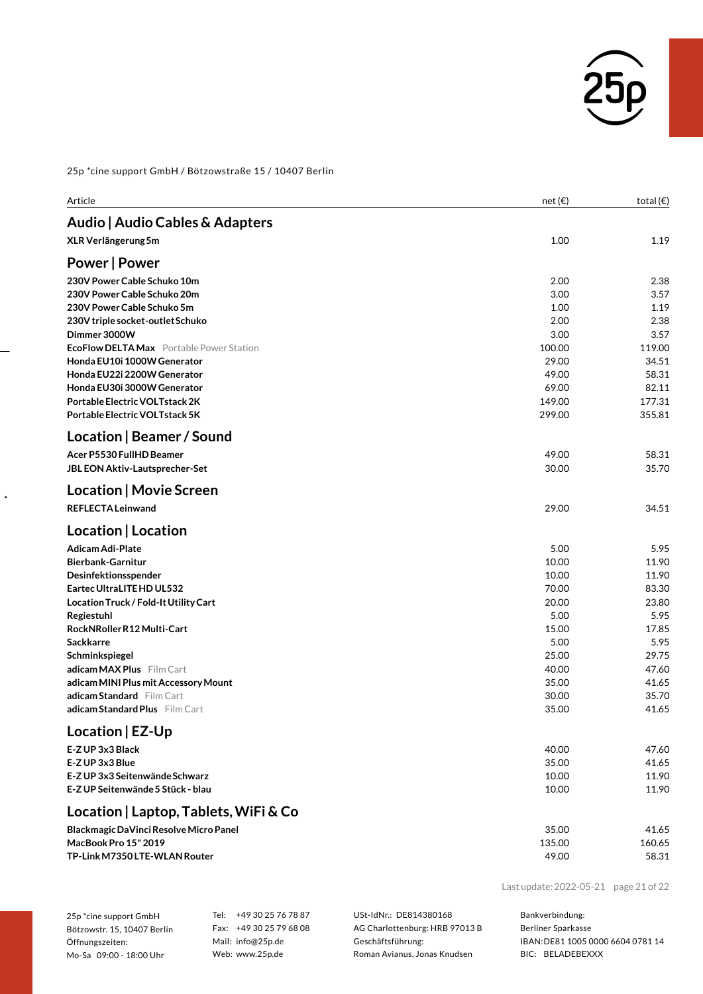

| Article                                                            | net(E)           | total $(\epsilon)$ |
|--------------------------------------------------------------------|------------------|--------------------|
| Audio   Audio Cables & Adapters                                    |                  |                    |
| XLR Verlängerung 5m                                                | 1.00             | 1.19               |
| <b>Power   Power</b>                                               |                  |                    |
| 230V Power Cable Schuko 10m                                        | 2.00             | 2.38               |
| 230V Power Cable Schuko 20m                                        | 3.00             | 3.57               |
| 230V Power Cable Schuko 5m                                         | 1.00             | 1.19               |
| 230V triple socket-outlet Schuko                                   | 2.00             | 2.38               |
| Dimmer 3000W                                                       | 3.00             | 3.57               |
| <b>EcoFlow DELTA Max</b> Portable Power Station                    | 100.00           | 119.00             |
| Honda EU10i 1000W Generator                                        | 29.00            | 34.51              |
| Honda EU22i 2200W Generator                                        | 49.00            | 58.31              |
| Honda EU30i 3000W Generator                                        | 69.00            | 82.11              |
| Portable Electric VOLTstack 2K<br>Portable Electric VOLTstack 5K   | 149.00<br>299.00 | 177.31<br>355.81   |
|                                                                    |                  |                    |
| Location   Beamer / Sound                                          |                  |                    |
| Acer P5530 FullHD Beamer                                           | 49.00            | 58.31              |
| JBL EON Aktiv-Lautsprecher-Set                                     | 30.00            | 35.70              |
| Location   Movie Screen                                            |                  |                    |
| <b>REFLECTA Leinwand</b>                                           | 29.00            | 34.51              |
| Location   Location                                                |                  |                    |
| <b>Adicam Adi-Plate</b>                                            | 5.00             | 5.95               |
| <b>Bierbank-Garnitur</b>                                           | 10.00            | 11.90              |
| Desinfektionsspender                                               | 10.00            | 11.90              |
| Eartec UltraLITE HD UL532                                          | 70.00            | 83.30              |
| Location Truck / Fold-It Utility Cart                              | 20.00            | 23.80              |
| Regiestuhl                                                         | 5.00             | 5.95               |
| RockNRollerR12 Multi-Cart                                          | 15.00            | 17.85              |
| Sackkarre                                                          | 5.00             | 5.95               |
| Schminkspiegel                                                     | 25.00            | 29.75              |
| adicam MAX Plus Film Cart                                          | 40.00            | 47.60              |
| adicam MINI Plus mit Accessory Mount                               | 35.00            | 41.65              |
| <b>adicam Standard</b> Film Cart<br>adicam Standard Plus Film Cart | 30.00<br>35.00   | 35.70<br>41.65     |
|                                                                    |                  |                    |
| Location   EZ-Up                                                   |                  |                    |
| E-Z UP 3x3 Black                                                   | 40.00            | 47.60              |
| E-Z UP 3x3 Blue                                                    | 35.00            | 41.65              |
| E-Z UP 3x3 Seitenwände Schwarz                                     | 10.00            | 11.90              |
| E-Z UP Seitenwände 5 Stück - blau                                  | 10.00            | 11.90              |
| Location   Laptop, Tablets, WiFi & Co                              |                  |                    |
| Blackmagic DaVinci Resolve Micro Panel                             | 35.00            | 41.65              |
| MacBook Pro 15" 2019                                               | 135.00           | 160.65             |
| TP-Link M7350 LTE-WLAN Router                                      | 49.00            | 58.31              |

25p \*cine support GmbH Bötzowstr. 15, 10407 Berlin Öffnungszeiten: Mo-Sa 09:00 - 18:00 Uhr

 $\ddot{\phantom{0}}$ 

Tel: +49 30 25 76 78 87 Fax: +49 30 25 79 68 08 Mail: info@25p.de Web: www.25p.de

USt-IdNr.: DE814380168 AG Charlottenburg: HRB 97013 B Geschäftsführung: Roman Avianus, Jonas Knudsen

Bankverbindung:

Last update:2022-05-21 page 21 of 22

Berliner Sparkasse IBAN:DE81 1005 0000 6604 0781 14 BIC: BELADEBEXXX